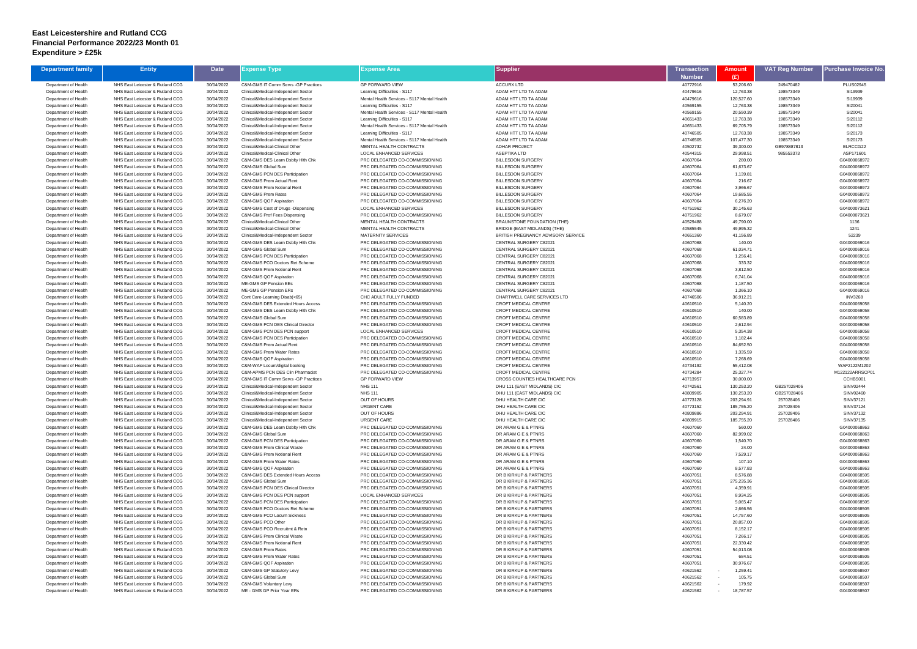## **East Leicestershire and Rutland CCG Financial Performance 2022/23 Month 01 Expenditure > £25k**

| <b>Department family</b>                     | <b>Entity</b>                                                        | <b>Date</b>              | Expense Type                                                               | <b>Expense Area</b>                                                         | Supplier                                             | Transaction          | Amount                  | <b>VAT Reg Number</b>  | <sup>o</sup> urchase Invoice No |
|----------------------------------------------|----------------------------------------------------------------------|--------------------------|----------------------------------------------------------------------------|-----------------------------------------------------------------------------|------------------------------------------------------|----------------------|-------------------------|------------------------|---------------------------------|
|                                              |                                                                      |                          |                                                                            |                                                                             |                                                      | <b>Number</b>        | (£)                     |                        |                                 |
| Department of Health                         | NHS East Leicester & Rutland CCG                                     | 30/04/2022               | C&M-GMS IT Comm Servs - GP Practices                                       | <b>GP FORWARD VIEW</b>                                                      | <b>ACCURX LTD</b>                                    | 40772916             | 53,206.60               | 249470482              | <b>PLUS02945</b>                |
| Department of Health                         | NHS East Leicester & Rutland CCG                                     | 30/04/2022               | Clinical&Medical-Independent Sector                                        | Learning Difficulties - S117                                                | ADAM HTT LTD TA ADAM                                 | 40479616             | 12,763.38               | 198573349              | SI19939                         |
| Department of Health<br>Department of Health | NHS East Leicester & Rutland CCG<br>NHS East Leicester & Rutland CCG | 30/04/2022<br>30/04/2022 | Clinical&Medical-Independent Sector<br>Clinical&Medical-Independent Sector | Mental Health Services - S117 Mental Health<br>Learning Difficulties - S117 | ADAM HTT LTD TA ADAM<br>ADAM HTT LTD TA ADAM         | 40479616<br>40569155 | 120,527.60<br>12,763.38 | 198573349<br>198573349 | SI19939<br>SI20041              |
| Department of Health                         | NHS East Leicester & Rutland CCG                                     | 30/04/2022               | Clinical&Medical-Independent Sector                                        | Mental Health Services - S117 Mental Health                                 | ADAM HTT LTD TA ADAM                                 | 40569155             | 20,550.39               | 198573349              | SI20041                         |
| Department of Health                         | NHS East Leicester & Rutland CCG                                     | 30/04/2022               | Clinical&Medical-Independent Sector                                        | Learning Difficulties - S117                                                | ADAM HTT LTD TA ADAM                                 | 40651433             | 12,763.38               | 198573349              | SI20112                         |
| Department of Health                         | NHS East Leicester & Rutland CCG                                     | 30/04/2022               | Clinical&Medical-Independent Sector                                        | Mental Health Services - S117 Mental Health                                 | ADAM HTT LTD TA ADAM                                 | 40651433             | 69,705.79               | 198573349              | SI20112                         |
| Department of Health                         | NHS East Leicester & Rutland CCG                                     | 30/04/2022               | Clinical&Medical-Independent Sector                                        | Learning Difficulties - S117                                                | ADAM HTT LTD TA ADAM                                 | 40746505             | 12,763.38               | 198573349              | SI20173                         |
| Department of Health                         | NHS East Leicester & Rutland CCG                                     | 30/04/2022               | Clinical&Medical-Independent Sector                                        | Mental Health Services - S117 Mental Health                                 | ADAM HTT LTD TA ADAM                                 | 40746505             | 107,477.30              | 198573349              | SI20173                         |
| Department of Health                         | NHS East Leicester & Rutland CCG                                     | 30/04/2022               | Clinical&Medical-Clinical Other                                            | MENTAL HEALTH CONTRACTS                                                     | <b>ADHAR PROJECT</b>                                 | 40502732             | 39,300.00               | GB978887813            | ELRCCG22                        |
| Department of Health                         | NHS East Leicester & Rutland CCG                                     | 30/04/2022               | Clinical&Medical-Clinical Other                                            | LOCAL ENHANCED SERVICES                                                     | <b>ASEPTIKA LTD</b>                                  | 40544315             | 29,998.51               | 985553373              | ASP171601                       |
| Department of Health                         | NHS East Leicester & Rutland CCG                                     | 30/04/2022               | C&M-GMS DES Learn Dsblty Hith Chk                                          | PRC DELEGATED CO-COMMISSIONING                                              | <b>BILLESDON SURGERY</b>                             | 40607064             | 280.00                  |                        | G04000068972                    |
| Department of Health                         | NHS East Leicester & Rutland CCG                                     | 30/04/2022               | C&M-GMS Global Sum                                                         | PRC DELEGATED CO-COMMISSIONING                                              | <b>BILLESDON SURGERY</b>                             | 40607064             | 61,673.67               |                        | G04000068972                    |
| Department of Health                         | NHS East Leicester & Rutland CCG                                     | 30/04/2022               | C&M-GMS PCN DES Participation                                              | PRC DELEGATED CO-COMMISSIONING                                              | <b>BILLESDON SURGERY</b>                             | 40607064             | 1,139.81                |                        | G04000068972                    |
| Department of Health                         | NHS East Leicester & Rutland CCG                                     | 30/04/2022               | C&M-GMS Prem Actual Rent<br>C&M-GMS Prem Notional Rent                     | PRC DELEGATED CO-COMMISSIONING                                              | <b>BILLESDON SURGERY</b>                             | 40607064<br>40607064 | 216.67<br>3,966.67      |                        | G04000068972                    |
| Department of Health<br>Department of Health | NHS East Leicester & Rutland CCG<br>NHS East Leicester & Rutland CCG | 30/04/2022<br>30/04/2022 | C&M-GMS Prem Rates                                                         | PRC DELEGATED CO-COMMISSIONING<br>PRC DELEGATED CO-COMMISSIONING            | <b>BILLESDON SURGERY</b><br><b>BILLESDON SURGERY</b> | 40607064             | 19,685.55               |                        | G04000068972<br>G04000068972    |
| Department of Health                         | NHS East Leicester & Rutland CCG                                     | 30/04/2022               | C&M-GMS QOF Aspiration                                                     | PRC DELEGATED CO-COMMISSIONING                                              | <b>BILLESDON SURGERY</b>                             | 40607064             | 6,276.20                |                        | G04000068972                    |
| Department of Health                         | NHS East Leicester & Rutland CCG                                     | 30/04/2022               | C&M-GMS Cost of Drugs -Dispensing                                          | <b>LOCAL ENHANCED SERVICES</b>                                              | <b>BILLESDON SURGERY</b>                             | 40751962             | 30,145.63               |                        | G04000073621                    |
| Department of Health                         | NHS East Leicester & Rutland CCG                                     | 30/04/2022               | C&M-GMS Prof Fees Dispensing                                               | PRC DELEGATED CO-COMMISSIONING                                              | <b>BILLESDON SURGERY</b>                             | 40751962             | 8,679.07                |                        | G04000073621                    |
| Department of Health                         | NHS East Leicester & Rutland CCG                                     | 30/04/2022               | Clinical&Medical-Clinical Other                                            | <b>MENTAL HEALTH CONTRACTS</b>                                              | BRAUNSTONE FOUNDATION (THE)                          | 40529488             | 49,790.00               |                        | 1136                            |
| Department of Health                         | NHS East Leicester & Rutland CCG                                     | 30/04/2022               | Clinical&Medical-Clinical Other                                            | MENTAL HEALTH CONTRACTS                                                     | BRIDGE (EAST MIDLANDS) (THE)                         | 40585545             | 49,995.32               |                        | 1241                            |
| Department of Health                         | NHS East Leicester & Rutland CCG                                     | 30/04/2022               | Clinical&Medical-Independent Sector                                        | <b>MATERNITY SERVICES</b>                                                   | BRITISH PREGNANCY ADVISORY SERVICE                   | 40651360             | 41,156.89               |                        | 52239                           |
| Department of Health                         | NHS East Leicester & Rutland CCG                                     | 30/04/2022               | C&M-GMS DES Learn Dsblty Hith Chk                                          | PRC DELEGATED CO-COMMISSIONING                                              | CENTRAL SURGERY C82021                               | 40607068             | 140.00                  |                        | G04000069016                    |
| Department of Health                         | NHS East Leicester & Rutland CCG                                     | 30/04/2022               | C&M-GMS Global Sum                                                         | PRC DELEGATED CO-COMMISSIONING                                              | CENTRAL SURGERY C82021                               | 40607068             | 61,034.71               |                        | G04000069016                    |
| Department of Health                         | NHS East Leicester & Rutland CCG                                     | 30/04/2022               | C&M-GMS PCN DES Participation                                              | PRC DELEGATED CO-COMMISSIONING                                              | CENTRAL SURGERY C82021                               | 40607068             | 1,256.41                |                        | G04000069016                    |
| Department of Health                         | NHS East Leicester & Rutland CCG                                     | 30/04/2022               | C&M-GMS PCO Doctors Ret Scheme                                             | PRC DELEGATED CO-COMMISSIONING<br>PRC DELEGATED CO-COMMISSIONING            | CENTRAL SURGERY C82021                               | 40607068             | 333.32                  |                        | G04000069016                    |
| Department of Health<br>Department of Health | NHS East Leicester & Rutland CCG<br>NHS East Leicester & Rutland CCG | 30/04/2022<br>30/04/2022 | C&M-GMS Prem Notional Rent<br>C&M-GMS QOF Aspiration                       | PRC DELEGATED CO-COMMISSIONING                                              | CENTRAL SURGERY C82021<br>CENTRAL SURGERY C82021     | 40607068<br>40607068 | 3,812.50<br>6,741.04    |                        | G04000069016<br>G04000069016    |
| Department of Health                         | NHS East Leicester & Rutland CCG                                     | 30/04/2022               | ME-GMS GP Pension EEs                                                      | PRC DELEGATED CO-COMMISSIONING                                              | CENTRAL SURGERY C82021                               | 40607068             | 1,187.50                |                        | G04000069016                    |
| Department of Health                         | NHS East Leicester & Rutland CCG                                     | 30/04/2022               | ME-GMS GP Pension ERs                                                      | PRC DELEGATED CO-COMMISSIONING                                              | CENTRAL SURGERY C82021                               | 40607068             | 1,366.10                |                        | G04000069016                    |
| Department of Health                         | NHS East Leicester & Rutland CCG                                     | 30/04/2022               | Cont Care-Learning Disab(<65)                                              | CHC ADULT FULLY FUNDED                                                      | CHARTWELL CARE SERVICES LTD                          | 40746506             | 36,912.21               |                        | <b>INV3268</b>                  |
| Department of Health                         | NHS East Leicester & Rutland CCG                                     | 30/04/2022               | C&M-GMS DES Extended Hours Access                                          | PRC DELEGATED CO-COMMISSIONING                                              | CROFT MEDICAL CENTRE                                 | 40610510             | 5,140.20                |                        | G04000069058                    |
| Department of Health                         | NHS East Leicester & Rutland CCG                                     | 30/04/2022               | C&M-GMS DES Learn Dsblty Hlth Chk                                          | PRC DELEGATED CO-COMMISSIONING                                              | CROFT MEDICAL CENTRE                                 | 40610510             | 140.00                  |                        | G04000069058                    |
| Department of Health                         | NHS East Leicester & Rutland CCG                                     | 30/04/2022               | C&M-GMS Global Sum                                                         | PRC DELEGATED CO-COMMISSIONING                                              | CROFT MEDICAL CENTRE                                 | 40610510             | 60,583.89               |                        | G04000069058                    |
| Department of Health                         | NHS East Leicester & Rutland CCG                                     | 30/04/2022               | C&M-GMS PCN DES Clinical Director                                          | PRC DELEGATED CO-COMMISSIONING                                              | CROFT MEDICAL CENTRE                                 | 40610510             | 2,612.94                |                        | G04000069058                    |
| Department of Health                         | NHS East Leicester & Rutland CCG                                     | 30/04/2022               | C&M-GMS PCN DES PCN support                                                | LOCAL ENHANCED SERVICES                                                     | CROFT MEDICAL CENTRE                                 | 40610510             | 5,354.38                |                        | G04000069058                    |
| Department of Health                         | NHS East Leicester & Rutland CCG                                     | 30/04/2022               | C&M-GMS PCN DES Participation                                              | PRC DELEGATED CO-COMMISSIONING                                              | CROFT MEDICAL CENTRE                                 | 40610510             | 1,182.44                |                        | G04000069058                    |
| Department of Health<br>Department of Health | NHS East Leicester & Rutland CCG<br>NHS East Leicester & Rutland CCG | 30/04/2022<br>30/04/2022 | C&M-GMS Prem Actual Rent<br>C&M-GMS Prem Water Rates                       | PRC DELEGATED CO-COMMISSIONING<br>PRC DELEGATED CO-COMMISSIONING            | CROFT MEDICAL CENTRE<br>CROFT MEDICAL CENTRE         | 40610510<br>40610510 | 84,652.50<br>1,335.59   |                        | G04000069058<br>G04000069058    |
| Department of Health                         | NHS East Leicester & Rutland CCG                                     | 30/04/2022               | C&M-GMS QOF Aspiration                                                     | PRC DELEGATED CO-COMMISSIONING                                              | <b>CROFT MEDICAL CENTRE</b>                          | 40610510             | 7,268.69                |                        | G04000069058                    |
| Department of Health                         | NHS East Leicester & Rutland CCG                                     | 30/04/2022               | C&M-WAF Locum/digital booking                                              | PRC DELEGATED CO-COMMISSIONING                                              | <b>CROFT MEDICAL CENTRE</b>                          | 40734192             | 55,412.08               |                        | WAF2122M1202                    |
| Department of Health                         | NHS East Leicester & Rutland CCG                                     | 30/04/2022               | C&M-APMS PCN DES Clin Pharmacist                                           | PRC DELEGATED CO-COMMISSIONING                                              | <b>CROFT MEDICAL CENTRE</b>                          | 40734284             | 25,327.74               |                        | M122122ARRSCP01                 |
| Department of Health                         | NHS East Leicester & Rutland CCG                                     | 30/04/2022               | C&M-GMS IT Comm Servs - GP Practices                                       | <b>GP FORWARD VIEW</b>                                                      | CROSS COUNTIES HEALTHCARE PCN                        | 40713957             | 30,000.00               |                        | CCHBS001                        |
| Department of Health                         | NHS East Leicester & Rutland CCG                                     | 30/04/2022               | Clinical&Medical-Independent Sector                                        | <b>NHS 111</b>                                                              | DHU 111 (EAST MIDLANDS) CIC                          | 40742561             | 130,253.20              | GB257028406            | SINV02444                       |
| Department of Health                         | NHS East Leicester & Rutland CCG                                     | 30/04/2022               | Clinical&Medical-Independent Sector                                        | <b>NHS 111</b>                                                              | DHU 111 (EAST MIDLANDS) CIC                          | 40809905             | 130,253.20              | GB257028406            | SINV02460                       |
| Department of Health                         | NHS East Leicester & Rutland CCG                                     | 30/04/2022               | Clinical&Medical-Independent Sector                                        | OUT OF HOURS                                                                | DHU HEALTH CARE CIC                                  | 40773128             | 203,294.91              | 257028406              | SINV37121                       |
| Department of Health                         | NHS East Leicester & Rutland CCG                                     | 30/04/2022               | Clinical&Medical-Independent Sector                                        | <b>URGENT CARE</b>                                                          | DHU HEALTH CARE CIC                                  | 40773152             | 185,755.20              | 257028406              | SINV37124                       |
| Department of Health                         | NHS East Leicester & Rutland CCG                                     | 30/04/2022               | Clinical&Medical-Independent Sector                                        | OUT OF HOURS                                                                | DHU HEALTH CARE CIC                                  | 40809886             | 203,294.91              | 257028406              | SINV37132                       |
| Department of Health<br>Department of Health | NHS East Leicester & Rutland CCG<br>NHS East Leicester & Rutland CCG | 30/04/2022<br>30/04/2022 | Clinical&Medical-Independent Sector<br>C&M-GMS DES Learn Dsblty Hlth Chk   | <b>URGENT CARE</b><br>PRC DELEGATED CO-COMMISSIONING                        | DHU HEALTH CARE CIC<br>DR ARAM G E & PTNRS           | 40809915<br>40607060 | 185,755.20<br>560.00    | 257028406              | SINV37135<br>G04000068863       |
| Department of Health                         | NHS East Leicester & Rutland CCG                                     | 30/04/2022               | C&M-GMS Global Sum                                                         | PRC DELEGATED CO-COMMISSIONING                                              | DR ARAM G E & PTNRS                                  | 40607060             | 82,999.02               |                        | G04000068863                    |
| Department of Health                         | NHS East Leicester & Rutland CCG                                     | 30/04/2022               | C&M-GMS PCN DES Participation                                              | PRC DELEGATED CO-COMMISSIONING                                              | DR ARAM G E & PTNRS                                  | 40607060             | 1,540.70                |                        | G04000068863                    |
| Department of Health                         | NHS East Leicester & Rutland CCG                                     | 30/04/2022               | <b>C&amp;M-GMS Prem Clinical Waste</b>                                     | PRC DELEGATED CO-COMMISSIONING                                              | DR ARAM G E & PTNRS                                  | 40607060             | 24.00                   |                        | G04000068863                    |
| Department of Health                         | NHS East Leicester & Rutland CCG                                     | 30/04/2022               | C&M-GMS Prem Notional Rent                                                 | PRC DELEGATED CO-COMMISSIONING                                              | DR ARAM G E & PTNRS                                  | 40607060             | 7,529.17                |                        | G04000068863                    |
| Department of Health                         | NHS East Leicester & Rutland CCG                                     | 30/04/2022               | C&M-GMS Prem Water Rates                                                   | PRC DELEGATED CO-COMMISSIONING                                              | DR ARAM G E & PTNRS                                  | 40607060             | 107.10                  |                        | G04000068863                    |
| Department of Health                         | NHS East Leicester & Rutland CCG                                     | 30/04/2022               | C&M-GMS QOF Aspiration                                                     | PRC DELEGATED CO-COMMISSIONING                                              | DR ARAM G E & PTNRS                                  | 40607060             | 8,577.83                |                        | G04000068863                    |
| Department of Health                         | NHS East Leicester & Rutland CCG                                     | 30/04/2022               | C&M-GMS DES Extended Hours Access                                          | PRC DELEGATED CO-COMMISSIONING                                              | DR B KIRKUP & PARTNERS                               | 40607051             | 8,576.88                |                        | G04000068505                    |
| Department of Health                         | NHS East Leicester & Rutland CCG                                     | 30/04/2022               | C&M-GMS Global Sum                                                         | PRC DELEGATED CO-COMMISSIONING                                              | DR B KIRKUP & PARTNERS                               | 40607051             | 275,235.36              |                        | G04000068505                    |
| Department of Health                         | NHS East Leicester & Rutland CCG<br>NHS East Leicester & Rutland CCG | 30/04/2022               | C&M-GMS PCN DES Clinical Director                                          | PRC DELEGATED CO-COMMISSIONING<br>LOCAL ENHANCED SERVICES                   | DR B KIRKUP & PARTNERS<br>DR B KIRKUP & PARTNERS     | 40607051<br>40607051 | 4,359.91                |                        | G04000068505                    |
| Department of Health<br>Department of Health | NHS East Leicester & Rutland CCG                                     | 30/04/2022<br>30/04/2022 | C&M-GMS PCN DES PCN support<br>C&M-GMS PCN DES Participation               | PRC DELEGATED CO-COMMISSIONING                                              | DR B KIRKUP & PARTNERS                               | 40607051             | 8,934.25<br>5,065.47    |                        | G04000068505<br>G04000068505    |
| Department of Health                         | NHS East Leicester & Rutland CCG                                     | 30/04/2022               | C&M-GMS PCO Doctors Ret Scheme                                             | PRC DELEGATED CO-COMMISSIONING                                              | DR B KIRKUP & PARTNERS                               | 40607051             | 2,666.56                |                        | G04000068505                    |
| Department of Health                         | NHS East Leicester & Rutland CCG                                     | 30/04/2022               | C&M-GMS PCO Locum Sickness                                                 | PRC DELEGATED CO-COMMISSIONING                                              | DR B KIRKUP & PARTNERS                               | 40607051             | 14,757.60               |                        | G04000068505                    |
| Department of Health                         | NHS East Leicester & Rutland CCG                                     | 30/04/2022               | C&M-GMS PCO Other                                                          | PRC DELEGATED CO-COMMISSIONING                                              | DR B KIRKUP & PARTNERS                               | 40607051             | 20,857.00               |                        | G04000068505                    |
| Department of Health                         | NHS East Leicester & Rutland CCG                                     | 30/04/2022               | C&M-GMS PCO Recruitmt & Retn                                               | PRC DELEGATED CO-COMMISSIONING                                              | DR B KIRKUP & PARTNERS                               | 40607051             | 8,152.17                |                        | G04000068505                    |
| Department of Health                         | NHS East Leicester & Rutland CCG                                     | 30/04/2022               | C&M-GMS Prem Clinical Waste                                                | PRC DELEGATED CO-COMMISSIONING                                              | DR B KIRKUP & PARTNERS                               | 40607051             | 7,266.17                |                        | G04000068505                    |
| Department of Health                         | NHS East Leicester & Rutland CCG                                     | 30/04/2022               | C&M-GMS Prem Notional Rent                                                 | PRC DELEGATED CO-COMMISSIONING                                              | DR B KIRKUP & PARTNERS                               | 40607051             | 22,330.42               |                        | G04000068505                    |
| Department of Health                         | NHS East Leicester & Rutland CCG                                     | 30/04/2022               | C&M-GMS Prem Rates                                                         | PRC DELEGATED CO-COMMISSIONING                                              | DR B KIRKUP & PARTNERS                               | 40607051             | 54,013.08               |                        | G04000068505                    |
| Department of Health                         | NHS East Leicester & Rutland CCG                                     | 30/04/2022               | C&M-GMS Prem Water Rates                                                   | PRC DELEGATED CO-COMMISSIONING                                              | DR B KIRKUP & PARTNERS                               | 40607051             | 684.51                  |                        | G04000068505                    |
| Department of Health                         | NHS East Leicester & Rutland CCG                                     | 30/04/2022               | C&M-GMS QOF Aspiration                                                     | PRC DELEGATED CO-COMMISSIONING                                              | DR B KIRKUP & PARTNERS                               | 40607051             | 30,976.67               |                        | G04000068505                    |
| Department of Health                         | NHS East Leicester & Rutland CCG<br>NHS East Leicester & Rutland CCG | 30/04/2022               | C&M-GMS GP Statutory Levy<br>C&M-GMS Global Sum                            | PRC DELEGATED CO-COMMISSIONING<br>PRC DELEGATED CO-COMMISSIONING            | DR B KIRKUP & PARTNERS<br>DR B KIRKUP & PARTNERS     | 40621562             | 1,259.41                |                        | G04000068507                    |
| Department of Health<br>Department of Health | NHS East Leicester & Rutland CCG                                     | 30/04/2022<br>30/04/2022 | C&M-GMS Voluntary Levy                                                     | PRC DELEGATED CO-COMMISSIONING                                              | DR B KIRKUP & PARTNERS                               | 40621562<br>40621562 | 105.75<br>179.92        |                        | G04000068507<br>G04000068507    |
| Department of Health                         | NHS East Leicester & Rutland CCG                                     | 30/04/2022               | ME - GMS GP Prior Year ERs                                                 | PRC DELEGATED CO-COMMISSIONING                                              | DR B KIRKUP & PARTNERS                               | 40621562             | 18,787.57               |                        | G04000068507                    |
|                                              |                                                                      |                          |                                                                            |                                                                             |                                                      |                      |                         |                        |                                 |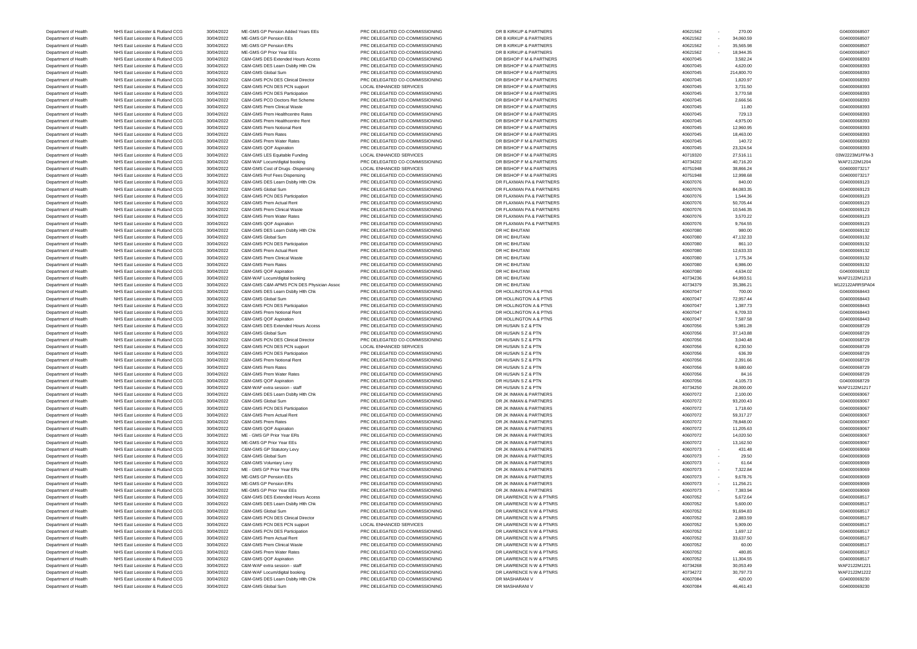Department of Health NHS East Leicester & Rutland CCG 30/04/2022 ME-GMS GP Pension Added Years EEs PRC DELEGATED CO-COMMISSIONING DR B KIRKUP & PARTNERS 40621562 - 270.00 40621562 - 270.00 604000068507 Department of Health NHS East Leicester & Rutland CCG 30/04/2022 ME-GMS GP Pension EEs PRC DELEGATED CO-COMMISSIONING DR B KIRKUP & PARTNERS 40621562 - 34,060.59 40621562 - 34,060.59 G04000068507 Department of Health NHS East Leicester & Rutland CCG 30/04/2022 ME-GMS GP Pension ERs PRC DELEGATED CO-COMMISSIONING DR B KIRKUP & PARTNERS 40621562 - 35,565.98 40621562 - 35,565.98 G04000068507 Department of Health NHS East Leicester & Rutland CCG 30/04/2022 ME-GMS GP Prior Year EEs PRC DELEGATED CO-COMMISSIONING DR B KIRKUP & PARTNERS 40621562 - 18,944.35 40621562 - 18,944.35 G04000068507 Department of Health NHS East Leicester & Rutland CCG 30/04/2022 C&M-GMS DES Extended Hours Access PRC DELEGATED CO-COMMISSIONING DR BISHOP F M & PARTNERS 40607045 40607045 3,582.24 60000068393 Department of Health NHS East Leicester & Rutland CCG 30/04/2022 C&M-GMS DES Learn Dsblty Hlth Chk PRC DELEGATED CO-COMMISSIONING DR BISHOP F M & PARTNERS 4,620.00 40607045 4,620.00 40607045 4,620.00 604000068393 Department of Health NHS East Leicester & Rutland CCG 30/04/2022 C&M-GMS Global Sum PRC DELEGATED CO-COMMISSIONING DR BISHOP F M & PARTNERS 40607045 40607045 214,800.70 40607045 214,800.70 C04000068393 Department of Health NHS East Leicester & Rutland CCG 30/04/2022 C&M-GMS PCN DES Clinical Director PRC DELEGATED CO-COMMISSIONING DR BISHOP F M & PARTNERS 40607045 1,820.97 40607045 1,820.97 604000068393 Department of Health NHS East Leicester & Rutland CCG 30/04/2022 C&M-GMS PCN DES PCN support LOCAL ENHANCED SERVICES DR BISHOP F M & PARTNERS 40607045 40607045 3,731.50 40600068393 Department of Health NHS East Leicester & Rutland CCG 30/04/2022 C&M-GMS PCN DES Participation PRC DELEGATED CO-COMMISSIONING DR BISHOP F M & PARTNERS 40607045 40607045 3,770.58 40607045 3,770.58 604000068393 Department of Health NHS East Leicester & Rutland CCG 30/04/2022 C&M-GMS PCO Doctors Ret Scheme PRC DELEGATED CO-COMMISSIONING DR BISHOP F M & PARTNERS 40607045 40607045 2,666.56 2666.56 2,666.56 60000000000000000000000000 Department of Health NHS East Leicester & Rutland CCG 30/04/2022 C&M-GMS Prem Clinical Waste PRC DELEGATED CO-COMMISSIONING DR BISHOP F M & PARTNERS 40607045 40607045 11.80 40607045 11.80 604000068393 Department of Health NHS East Leicester & Rutland CCG 30/04/2022 C&M-GMS Prem Healthcentre Rates PRC DELEGATED CO-COMMISSIONING DR BISHOP F M & PARTNERS 40607045 40607045 729.13 40607045 729.13 604000068393 Department of Health NHS East Leicester & Rutland CCG 30/04/2022 C&M-GMS Prem Healthcentre Rent PRC DELEGATED CO-COMMISSIONING DR BISHOP F M & PARTNERS 40607045 4,975.00 4,975.00 4,975.00 G04000068393 Department of Health NHS East Leicester & Rutland CCG 30/04/2022 C&M-GMS Prem Notional Rent PRC DELEGATED CO-COMMISSIONING DR BISHOP F M & PARTNERS 40607045 40607045 12,960.95 40607045 12,960.95 604000068393 Department of Health NHS East Leicester & Rutland CCG 30/04/2022 C&M-GMS Prem Rates PRC DELEGATED CO-COMMISSIONING DR BISHOP F M & PARTNERS 40607045 40607045 18,463.00 40600068393 Department of Health NHS East Leicester & Rutland CCG 30/04/2022 C&M-GMS Prem Water Rates PRC DELEGATED CO-COMMISSIONING DR BISHOP F M & PARTNERS 40607045 40607045 40607045 140.72 40772 CBMS ARTNERS G040000068393 Department of Health NHS East Leicester & Rutland CCG 30/04/2022 C&M-GMS QOF Aspiration PRC DELEGATED CO-COMMISSIONING DR BISHOP F M & PARTNERS 40607045 40607045 23,324.54 40607045 23,324.54 6040000088393 Department of Health NHS East Leicester & Rutland CCG 30/04/2022 C&M-GMS LES Equitable Funding LOCAL ENHANCED SERVICES DR BISHOP F M & PARTNERS 40719320 27,516.11 40719320 27,516.11 03W2223M1FFM-3 Department of Health NHS East Leicester & Rutland CCG 30/04/2022 C&M-WAF Locum/digital booking PRC DELEGATED CO-COMMISSIONING DR BISHOP F M & PARTNERS 40734202 40,716.20 40,716.20 40.716.20 40.734202 WAF2122M1204 Department of Health NHS East Leicester & Rutland CCG 30/04/2022 C&M-GMS Cost of Drugs -Dispensing LOCAL ENHANCED SERVICES DR BISHOP F M & PARTNERS 40751948 40751948 38,866.24 38,866.24 G04000073217 Department of Health NHS East Leicester & Rutland CCG 30/04/2022 C&M-GMS Prof Fees Dispensing PRC DELEGATED CO-COMMISSIONING DR BISHOP F M & PARTNERS 40751948 40751948 12,998.68 12,998.68 12,998.68 12,998.68 604000073217 Department of Health NHS East Leicester & Rutland CCG 30/04/2022 C&M-GMS DES Learn Dsblty Hlth Chk PRC DELEGATED CO-COMMISSIONING DR FLAXMAN PA & PARTNERS 40607076 40607076 840.00 604000069123 Department of Health NHS East Leicester & Rutland CCG 30/04/2022 C&M-GMS Global Sum PRC DELEGATED CO-COMMISSIONING DR FLAXMAN PA & PARTNERS 40607076 40607076 84,083.35 40607076 84,083.35 G04000069123 Department of Health NHS East Leicester & Rutland CCG 30/04/2022 C&M-GMS PCN DES Participation PRC DELEGATED CO-COMMISSIONING DR FLAXMAN PA & PARTNERS 40607076 40607076 1,544.36 4000009123 Department of Health NHS East Leicester & Rutland CCG 30/04/2022 C&M-GMS Prem Actual Rent PRC DELEGATED CO-COMMISSIONING DR FLAXMAN PA & PARTNERS 40607076 40607076 50,705.44 G04000069123 Department of Health NHS East Leicester & Rutland CCG 30/04/2022 C&M-GMS Prem Clinical Waste PRC DELEGATED CO-COMMISSIONING DR FLAXMAN PA & PARTNERS 40607076 40607076 10,546.35 604000069123 Department of Health NHS East Leicester & Rutland CCG 30/04/2022 C&M-GMS Prem Water Rates PRC DELEGATED CO-COMMISSIONING DR FLAXMAN PA & PARTNERS 40607076 40607076 3,570.22 6604000069123 Department of Health NHS East Leicester & Rutland CCG 30/04/2022 C&M-GMS QOF Aspiration PRC DELEGATED CO-COMMISSIONING DR FLAXMAN PA & PARTNERS 40607076 40607076 9,764.55 9,764.55 604000009123 Department of Health NHS East Leicester & Rutland CCG 30/04/2022 C&M-GMS DES Learn Dsblty Hlth Chk PRC DELEGATED CO-COMMISSIONING DR HC BHUTANI 40607080 980.00 980.00 980.00 980.00 980.00 980.00 980.00 980.00 G04000069132 Department of Health NHS East Leicester & Rutland CCG 30/04/2022 C&M-GMS Global Sum PRC DELEGATED CO-COMMISSIONING DR HC BHUTANI 40607080 47,132.33 40607080 47,132.33 604000069132 Department of Health NHS East Leicester & Rutland CCG 30/04/2022 C&M-GMS PCN DES Participation PRC DELEGATED CO-COMMISSIONING DR HC BHUTANI 40607080 40607080 861.10 861.10 604000069132 Department of Health NHS East Leicester & Rutland CCG 30/04/2022 C&M-GMS Prem Actual Rent PRC DELEGATED CO-COMMISSIONING DR HC BHUTANI 40607080 40607080 12,633.33 40607080 12,633.33 G04000069132 Department of Health NHS East Leicester & Rutland CCG 30/04/2022 C&M-GMS Prem Clinical Waste PRC DELEGATED CO-COMMISSIONING DR HC BHUTANI 40607080 40607080 1,775.34 40607080 1,775.34 G04000069132 Department of Health NHS East Leicester & Rutland CCG 30/04/2022 C&M-GMS Prem Rates PRC DELEGATED CO-COMMISSIONING DR HC BHUTANI 40607080 40607080 6,986.00 6,986.00 6,986.00 6,986.00 6,986.00 6,986.00 6,986.00 6,986.00 6,9 Department of Health NHS East Leicester & Rutland CCG 30/04/2022 C&M-GMS QOF Aspiration PRC DELEGATED CO-COMMISSIONING DR HC BHUTANI 40607080 4,634.02 40607080 4,634.02 604000069132 Department of Health NHS East Leicester & Rutland CCG 30/04/2022 C&M-WAF Locum/digital booking PRC DELEGATED CO-COMMISSIONING DR HC BHUTANI 40734236 64,993.51 64,993.51 PRE2122M1213 Department of Health NHS East Leicester & Rutland CCG 30/04/2022 C&M-GMS C&M-APMS PCN DES Physician Assoc PRC DELEGATED CO-COMMISSIONING DR HC BHUTANI 40734379 35,386.21 35,386.21 M122122ARRSPA04 Department of Health NHS East Leicester & Rutland CCG 30/04/2022 C&M-GMS DES Learn Dsblty Hlth Chk PRC DELEGATED CO-COMMISSIONING DR HOLLINGTON A & PTNS 40607047 700.00 40607047 700.00 G04000068443 Department of Health NHS East Leicester & Rutland CCG 30/04/2022 C&M-GMS Global Sum PRC DELEGATED CO-COMMISSIONING DR HOLLINGTON A & PTNS 40607047 40607047 72,957.44 604000068443 Department of Health NHS East Leicester & Rutland CCG 30/04/2022 C&M-GMS PCN DES Participation PRC DELEGATED CO-COMMISSIONING DR HOLLINGTON A & PTNS 40607047 40607047 1,387.73 40607047 1,387.73 604000068443 Department of Health NHS East Leicester & Rutland CCG 30/04/2022 C&M-GMS Prem Notional Rent PRC DELEGATED CO-COMMISSIONING DR HOLLINGTON A & PTNS 40607047 40607047 6,709.33 604000068443 Department of Health NHS East Leicester & Rutland CCG 30/04/2022 C&M-GMS QOF Aspiration PRC DELEGATED CO-COMMISSIONING DR HOLLINGTON A & PTNS 40607047 40607047 7,587.58 40600068443 Department of Health NHS East Leicester & Rutland CCG 30/04/2022 C&M-GMS DES Extended Hours Access PRC DELEGATED CO-COMMISSIONING DR HUSAIN S Z & PTN 40607056 40607056 5,981.28 5 5,981.28 C604000068729 Department of Health NHS East Leicester & Rutland CCG 30/04/2022 C&M-GMS Global Sum PRC DELEGATED CO-COMMISSIONING DR HUSAIN S Z & PTN 40607056 37,143.88 37,143.88 G04000068729 G04000068729 Department of Health NHS East Leicester & Rutland CCG 30/04/2022 C&M-GMS PCN DES Clinical Director PRC DELEGATED CO-COMMISSIONING DR HUSAIN S Z & PTN 40607056 3,040.48 40607056 3,040.48 G04000068729 Department of Health NHS East Leicester & Rutland CCG 30/04/2022 C&M-GMS PCN DES PCN support LOCAL ENHANCED SERVICES DR HUSAIN S Z & PTN 40607056 40607056 6,230.50 604000068729 G04000068729 Department of Health NHS East Leicester & Rutland CCG 30/04/2022 C&M-GMS PCN DES Participation PRC DELEGATED CO-COMMISSIONING DR HUSAIN S Z & PTN 40607056 636.39 604000068729 G04000068729 Department of Health NHS East Leicester & Rutland CCG 30/04/2022 C&M-GMS Prem Notional Rent PRC DELEGATED CO-COMMISSIONING DR HUSAIN S Z & PTN 40607056 40607056 2,391.66 2,391.66 2,391.66 2,391.66 2,391.66 2,391.66 2,591.6 Department of Health NHS East Leicester & Rutland CCG 30/04/2022 C&M-GMS Prem Rates PRC DELEGATED CO-COMMISSIONING DR HUSAIN S Z & PTN 40607056 40607056 9,680.60 9,680.60 G04000068729 Department of Health NHS East Leicester & Rutland CCG 30/04/2022 C&M-GMS Prem Water Rates PRC DELEGATED CO-COMMISSIONING DR HUSAIN S Z & PTN 40607056 84.16 40607056 84.16 G04000068729 Department of Health NHS East Leicester & Rutland CCG 30/04/2022 C&M-GMS QOF Aspiration PRC DELEGATED CO-COMMISSIONING DR HUSAIN S Z & PTN 40607056 4,105.73 40607056 4,105.73 G04000068729 Department of Health NHS East Leicester & Rutland CCG 30/04/2022 C&M-WAF extra session - staff PRC DELEGATED CO-COMMISSIONING DR HUSAIN S Z & PTN 40734250 28,000.00 28,000.00 28,000.00 WAF2122M1217 Department of Health NHS East Leicester & Rutland CCG 30/04/2022 C&M-GMS DES Learn Dsblty Hlth Chk PRC DELEGATED CO-COMMISSIONING DR JK INMAN & PARTNERS 40607072 40607072 2,100.00 40607072 2,100.00 40607072 2,100.00 406070 Department of Health NHS East Leicester & Rutland CCG 30/04/2022 C&M-GMS Global Sum PRC DELEGATED CO-COMMISSIONING DR JK INMAN & PARTNERS 40607072 93,200.43 40607072 93,200.43 G04000069067 Department of Health NHS East Leicester & Rutland CCG 30/04/2022 C&M-GMS PCN DES Participation PRC DELEGATED CO-COMMISSIONING DR JK INMAN & PARTNERS 40607072 40607072 1,718.60 1,718.60 504000069067 Department of Health NHS East Leicester & Rutland CCG 30/04/2022 C&M-GMS Prem Actual Rent PRC DELEGATED CO-COMMISSIONING DR JK INMAN & PARTNERS 40607072 59,317.27 59,317.27 59,317.27 604000099067 Department of Health NHS East Leicester & Rutland CCG 30/04/2022 C&M-GMS Prem Rates PRC DELEGATED CO-COMMISSIONING DR JK INMAN & PARTNERS 40607072 78,848.00 78,848.00 604000069067 Department of Health NHS East Leicester & Rutland CCG 30/04/2022 C&M-GMS QOF Aspiration PRC DELEGATED CO-COMMISSIONING DR JK INMAN & PARTNERS 40607072 40607072 11,205.63 40607072 11,205.63 604000069067 Department of Health NHS East Leicester & Rutland CCG 30/04/2022 ME - GMS GP Prior Year ERs PRC DELEGATED CO-COMMISSIONING DR JK INMAN & PARTNERS 40607072 40607072 14,020.50 40600059067 Department of Health NHS East Leicester & Rutland CCG 30/04/2022 ME-GMS GP Prior Year EEs PRC DELEGATED CO-COMMISSIONING DR JK INMAN & PARTNERS 40607072 40607072 13,162.50 13,162.50 G04000069067 Department of Health NHS East Leicester & Rutland CCG 30/04/2022 C&M-GMS GP Statutory Levy PRC DELEGATED CO-COMMISSIONING DR JK INMAN & PARTNERS 40607073 - 431.48 40607073 - 431.48 G04000069069 Department of Health NHS East Leicester & Rutland CCG 30/04/2022 C&M-GMS Global Sum PRC DELEGATED CO-COMMISSIONING DR JK INMAN & PARTNERS 40607073 - 29.50 40607073 - 29.50 G04000069069 Department of Health NHS East Leicester & Rutland CCG 30/04/2022 C&M-GMS Voluntary Levy PRC DELEGATED CO-COMMISSIONING DR JK INMAN & PARTNERS 40607073 - 61.64 61.64 604000069069 Department of Health NHS East Leicester & Rutland CCG 30/04/2022 ME - GMS GP Prior Year ERs PRC DELEGATED CO-COMMISSIONING DR JK INMAN & PARTNERS 40607073 - 7,322.84 40607073 - 7,322.84 G04000069069 Department of Health NHS East Leicester & Rutland CCG 30/04/2022 ME-GMS GP Pension EEs PRC DELEGATED CO-COMMISSIONING DR JK INMAN & PARTNERS 40607073 - 9,678.76 40607073 - 9,678.76 604000069069 Department of Health NHS East Leicester & Rutland CCG 30/04/2022 ME-GMS GP Pension ERs PRC DELEGATED CO-COMMISSIONING DR JK INMAN & PARTNERS 40607073 - 11,256.21 40607073 - 11,256.21 G04000069069 Department of Health NHS East Leicester & Rutland CCG 30/04/2022 ME-GMS GP Prior Year EEs PRC DELEGATED CO-COMMISSIONING DR JK INMAN & PARTNERS 40607073 - 7,383.94 40607073 - 7,383.94 G04000069069 Department of Health NHS East Leicester & Rutland CCG 30/04/2022 C&M-GMS DES Extended Hours Access PRC DELEGATED CO-COMMISSIONING DR LAWRENCE N W & PTNRS 40607052 5,672.64 5,672.64 5,672.64 604000068517 Department of Health NHS East Leicester & Rutland CCG 30/04/2022 C&M-GMS DES Learn Dsblty Hlth Chk PRC DELEGATED CO-COMMISSIONING DR LAWRENCE N W & PTNRS 40607052 5,600.00 40607052 5,600.00 604000068517 Department of Health NHS East Leicester & Rutland CCG 30/04/2022 C&M-GMS Global Sum PRC DELEGATED CO-COMMISSIONING DR LAWRENCE N W & PTNRS 40607052 91,694.83 91,694.83 91,694.83 G04000068517 Department of Health NHS East Leicester & Rutland CCG 30/04/2022 C&M-GMS PCN DES Clinical Director PRC DELEGATED CO-COMMISSIONING DR LAWRENCE N W & PTNRS 40607052 2,883.59 40607052 2,883.59 604000068517 Department of Health NHS East Leicester & Rutland CCG 30/04/2022 C&M-GMS PCN DES PCN support LOCAL ENHANCED SERVICES DR LAWRENCE N W & PTNRS 40607052 40607052 5,909.00 504000068517 Department of Health NHS East Leicester & Rutland CCG 30/04/2022 C&M-GMS PCN DES Participation PRC DELEGATED CO-COMMISSIONING DR LAWRENCE N W & PTNRS 40607052 40607052 1,697.12 1,697.12 604000068517 Department of Health NHS East Leicester & Rutland CCG 30/04/2022 C&M-GMS Prem Actual Rent PRC DELEGATED CO-COMMISSIONING DR LAWRENCE N W & PTNRS 40607052 33,637.50 33,637.50 33,637.50 G04000068517 Department of Health NHS East Leicester & Rutland CCG 30/04/2022 C&M-GMS Prem Clinical Waste PRC DELEGATED CO-COMMISSIONING DR LAWRENCE N W & PTNRS 40607052 60.00 6000068517 Department of Health NHS East Leicester & Rutland CCG 30/04/2022 C&M-GMS Prem Water Rates PRC DELEGATED CO-COMMISSIONING DR LAWRENCE N W & PTNRS 40607052 480.85 490.85 490.85 490.85 604000068517 Department of Health NHS East Leicester & Rutland CCG 30/04/2022 C&M-GMS QOF Aspiration PRC DELEGATED CO-COMMISSIONING DR LAWRENCE N W & PTNRS 40607052 40607052 11,304.55 11,304.55 604000068517 Department of Health NHS East Leicester & Rutland CCG 30/04/2022 C&M-WAF extra session - staff PRC DELEGATED CO-COMMISSIONING DR LAWRENCE N W & PTNRS 40734268 30,053.49 WAF2122M1221 Department of Health NHS East Leicester & Rutland CCG 30/04/2022 C&M-WAF Locum/digital booking PRC DELEGATED CO-COMMISSIONING DR LAWRENCE N W & PTNRS 40734272 30,797.73 307.97.73 WAF2122M1222 Department of Health NHS East Leicester & Rutland CCG 30/04/2022 C&M-GMS DES Learn Dsblty Hlth Chk PRC DELEGATED CO-COMMISSIONING DR MASHARANI V 40607084 40607084 420.00 40000069230 G04000069230

Department of Health NHS East Leicester & Rutland CCG 30/04/2022 C&M-GMS Global Sum PRC DELEGATED CO-COMMISSIONING DR MASHARANI V 40607084 40607084 46,461.43 46401.43 G04000069230

| 562 | 270.00     |
|-----|------------|
| 562 | 34,060.59  |
| 562 | 35,565.98  |
| 562 | 18,944.35  |
|     | 3,582.24   |
| 045 |            |
| 045 | 4,620.00   |
| 045 | 214,800.70 |
| 045 | 1,820.97   |
| 045 | 3,731.50   |
| 045 | 3,770.58   |
| 045 | 2,666.56   |
| 045 | 11.80      |
| 045 | 729.13     |
|     |            |
| 045 | 4,975.00   |
| 045 | 12,960.95  |
| 045 | 18,463.00  |
| 045 | 140.72     |
| 045 | 23,324.54  |
| 320 | 27,516.11  |
| 202 | 40,716.20  |
| 948 | 38,866.24  |
| 948 | 12,998.68  |
| 076 | 840.00     |
|     |            |
| 076 | 84,083.35  |
| 076 | 1,544.36   |
| 076 | 50,705.44  |
| 076 | 10,546.35  |
| 076 | 3,570.22   |
| 076 | 9,764.55   |
| 080 | 980.00     |
| 080 | 47,132.33  |
|     |            |
| 080 | 861.10     |
| 080 | 12,633.33  |
| 080 | 1,775.34   |
| 080 | 6,986.00   |
| 080 | 4,634.02   |
| 236 | 64,993.51  |
| 379 | 35,386.21  |
| 047 | 700.00     |
| 047 | 72,957.44  |
|     |            |
| 047 | 1,387.73   |
| 047 | 6,709.33   |
| 047 | 7,587.58   |
| 056 | 5,981.28   |
| 056 | 37,143.88  |
| 056 | 3,040.48   |
| 056 | 6,230.50   |
| 056 | 636.39     |
| 056 | 2,391.66   |
|     |            |
| 056 | 9,680.60   |
| 056 | 84.16      |
| 056 | 4,105.73   |
| 250 | 28,000.00  |
| 072 | 2,100.00   |
| 072 | 93,200.43  |
| 072 | 1,718.60   |
| 072 | 59,317.27  |
| 072 | 78,848.00  |
|     | 11,205.63  |
| 072 |            |
| 072 | 14,020.50  |
| 072 | 13,162.50  |
| 073 | 431.48     |
| 073 | 29.50      |
| 073 | 61.64      |
| 073 | 7,322.84   |
| 073 | 9,678.76   |
|     |            |
| 073 | 11,256.21  |
| 073 | 7,383.94   |
| 052 | 5,672.64   |
| 052 | 5,600.00   |
| 052 | 91,694.83  |
| 052 | 2,883.59   |
| 052 | 5,909.00   |
| 052 | 1,697.12   |
| 052 | 33,637.50  |
|     |            |
| 052 | 60.00      |
| 052 | 480.85     |
| 052 | 11,304.55  |
| 268 | 30,053.49  |
| 272 | 30,797.73  |
| 084 | 420.00     |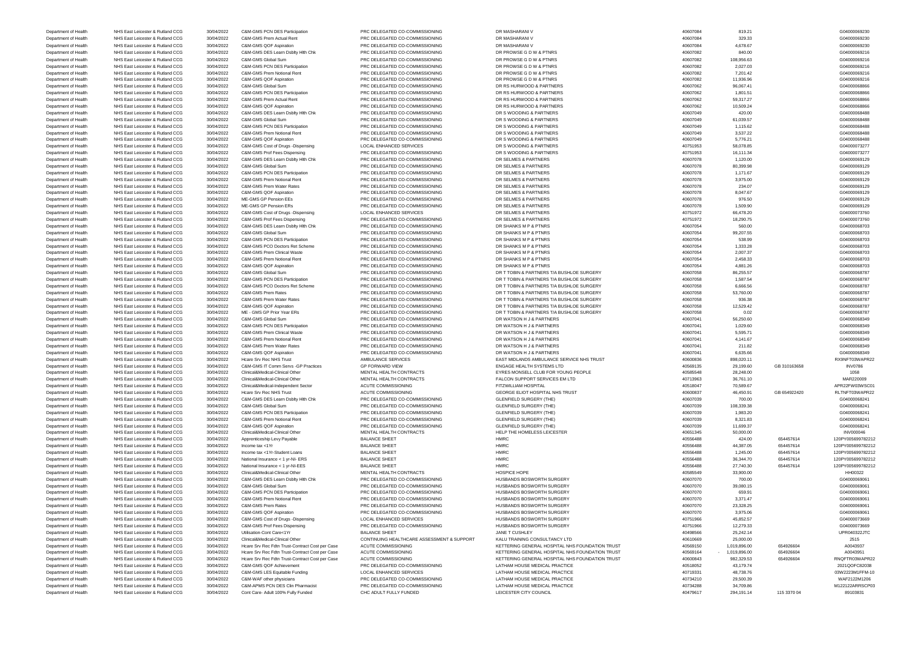| Department of Health                                                                         | NHS East Leicester & Rutland CCG                                     | 30/04/2022 | C&M-GMS PCN DES Participation                   | PRC DELEGATED CO-COMMISSIONING             | DR MASHARANI V                                  | 40607084             | 819.21       |              | G04000069230      |
|----------------------------------------------------------------------------------------------|----------------------------------------------------------------------|------------|-------------------------------------------------|--------------------------------------------|-------------------------------------------------|----------------------|--------------|--------------|-------------------|
| Department of Health                                                                         | NHS East Leicester & Rutland CCG                                     | 30/04/2022 | C&M-GMS Prem Actual Rent                        | PRC DELEGATED CO-COMMISSIONING             | DR MASHARANI V                                  | 40607084             | 329.33       |              | G04000069230      |
| Department of Health                                                                         | NHS East Leicester & Rutland CCG                                     | 30/04/2022 | C&M-GMS QOF Aspiration                          | PRC DELEGATED CO-COMMISSIONING             | DR MASHARANI V                                  | 40607084             | 4,678.67     |              | G04000069230      |
|                                                                                              |                                                                      |            |                                                 |                                            |                                                 |                      |              |              |                   |
| Department of Health                                                                         | NHS East Leicester & Rutland CCG                                     | 30/04/2022 | C&M-GMS DES Learn Dsblty Hlth Chk               | PRC DELEGATED CO-COMMISSIONING             | DR PROWSE G D W & PTNRS                         | 40607082             | 840.00       |              | G04000069216      |
| Department of Health                                                                         | NHS East Leicester & Rutland CCG                                     | 30/04/2022 | C&M-GMS Global Sum                              | PRC DELEGATED CO-COMMISSIONING             | DR PROWSE G D W & PTNRS                         | 40607082             | 108,956.63   |              | G04000069216      |
| Department of Health                                                                         | NHS East Leicester & Rutland CCG                                     | 30/04/2022 | <b>C&amp;M-GMS PCN DES Participation</b>        | PRC DELEGATED CO-COMMISSIONING             | DR PROWSE G D W & PTNRS                         | 40607082             | 2,027.03     |              | G04000069216      |
| Department of Health                                                                         | NHS East Leicester & Rutland CCG                                     | 30/04/2022 | C&M-GMS Prem Notional Rent                      | PRC DELEGATED CO-COMMISSIONING             | DR PROWSE G D W & PTNRS                         | 40607082             | 7,201.42     |              | G04000069216      |
| Department of Health                                                                         | NHS East Leicester & Rutland CCG                                     | 30/04/2022 | C&M-GMS QOF Aspiration                          | PRC DELEGATED CO-COMMISSIONING             | DR PROWSE G D W & PTNRS                         | 40607082             | 11,936.96    |              | G04000069216      |
|                                                                                              | NHS East Leicester & Rutland CCG                                     | 30/04/2022 | C&M-GMS Global Sum                              | PRC DELEGATED CO-COMMISSIONING             | DR RS HURWOOD & PARTNERS                        | 40607062             | 96,067.41    |              | G04000068866      |
| Department of Health                                                                         |                                                                      |            |                                                 |                                            |                                                 |                      |              |              |                   |
| Department of Health                                                                         | NHS East Leicester & Rutland CCG                                     | 30/04/2022 | C&M-GMS PCN DES Participation                   | PRC DELEGATED CO-COMMISSIONING             | DR RS HURWOOD & PARTNERS                        | 40607062             | 1,801.51     |              | G04000068866      |
| Department of Health                                                                         | NHS East Leicester & Rutland CCG                                     | 30/04/2022 | C&M-GMS Prem Actual Rent                        | PRC DELEGATED CO-COMMISSIONING             | DR RS HURWOOD & PARTNERS                        | 40607062             | 59,317.27    |              | G04000068866      |
| Department of Health                                                                         | NHS East Leicester & Rutland CCG                                     | 30/04/2022 | C&M-GMS QOF Aspiration                          | PRC DELEGATED CO-COMMISSIONING             | DR RS HURWOOD & PARTNERS                        | 40607062             | 10,509.24    |              | G04000068866      |
| Department of Health                                                                         | NHS East Leicester & Rutland CCG                                     | 30/04/2022 | C&M-GMS DES Learn Dsblty Hlth Chk               | PRC DELEGATED CO-COMMISSIONING             | DR S WOODING & PARTNERS                         | 40607049             | 420.00       |              | G04000068488      |
| Department of Health                                                                         | NHS East Leicester & Rutland CCG                                     | 30/04/2022 | C&M-GMS Global Sum                              | PRC DELEGATED CO-COMMISSIONING             | DR S WOODING & PARTNERS                         | 40607049             | 61,039.57    |              | G04000068488      |
|                                                                                              |                                                                      |            |                                                 |                                            |                                                 |                      |              |              |                   |
| Department of Health                                                                         | NHS East Leicester & Rutland CCG                                     | 30/04/2022 | C&M-GMS PCN DES Participation                   | PRC DELEGATED CO-COMMISSIONING             | DR S WOODING & PARTNERS                         | 40607049             | 1,115.62     |              | G04000068488      |
| Department of Health                                                                         | NHS East Leicester & Rutland CCG                                     | 30/04/2022 | C&M-GMS Prem Notional Rent                      | PRC DELEGATED CO-COMMISSIONING             | DR S WOODING & PARTNERS                         | 40607049             | 3,537.22     |              | G04000068488      |
| Department of Health                                                                         | NHS East Leicester & Rutland CCG                                     | 30/04/2022 | C&M-GMS QOF Aspiration                          | PRC DELEGATED CO-COMMISSIONING             | DR S WOODING & PARTNERS                         | 40607049             | 5,776.21     |              | G04000068488      |
| Department of Health                                                                         | NHS East Leicester & Rutland CCG                                     | 30/04/2022 | C&M-GMS Cost of Drugs -Dispensing               | <b>LOCAL ENHANCED SERVICES</b>             | DR S WOODING & PARTNERS                         | 40751953             | 58,078.85    |              | G04000073277      |
| Department of Health                                                                         | NHS East Leicester & Rutland CCG                                     | 30/04/2022 | C&M-GMS Prof Fees Dispensing                    | PRC DELEGATED CO-COMMISSIONING             | DR S WOODING & PARTNERS                         | 40751953             | 16,111.34    |              | G04000073277      |
|                                                                                              | NHS East Leicester & Rutland CCG                                     | 30/04/2022 | C&M-GMS DES Learn Dsblty Hith Chk               | PRC DELEGATED CO-COMMISSIONING             | DR SELMES & PARTNERS                            | 40607078             | 1,120.00     |              | G04000069129      |
| Department of Health                                                                         |                                                                      |            |                                                 |                                            |                                                 |                      |              |              |                   |
| Department of Health                                                                         | NHS East Leicester & Rutland CCG                                     | 30/04/2022 | C&M-GMS Global Sum                              | PRC DELEGATED CO-COMMISSIONING             | DR SELMES & PARTNERS                            | 40607078             | 80,399.98    |              | G04000069129      |
| Department of Health                                                                         | NHS East Leicester & Rutland CCG                                     | 30/04/2022 | C&M-GMS PCN DES Participation                   | PRC DELEGATED CO-COMMISSIONING             | DR SELMES & PARTNERS                            | 40607078             | 1,171.67     |              | G04000069129      |
| Department of Health                                                                         | NHS East Leicester & Rutland CCG                                     | 30/04/2022 | C&M-GMS Prem Notional Rent                      | PRC DELEGATED CO-COMMISSIONING             | DR SELMES & PARTNERS                            | 40607078             | 3,975.00     |              | G04000069129      |
| Department of Health                                                                         | NHS East Leicester & Rutland CCG                                     | 30/04/2022 | C&M-GMS Prem Water Rates                        | PRC DELEGATED CO-COMMISSIONING             | DR SELMES & PARTNERS                            | 40607078             | 234.07       |              | G04000069129      |
| Department of Health                                                                         | NHS East Leicester & Rutland CCG                                     | 30/04/2022 | C&M-GMS QOF Aspiration                          | PRC DELEGATED CO-COMMISSIONING             | DR SELMES & PARTNERS                            | 40607078             | 8,047.67     |              | G04000069129      |
|                                                                                              | NHS East Leicester & Rutland CCG                                     |            | ME-GMS GP Pension EEs                           | PRC DELEGATED CO-COMMISSIONING             | DR SELMES & PARTNERS                            | 40607078             | 976.50       |              | G04000069129      |
| Department of Health                                                                         |                                                                      | 30/04/2022 |                                                 |                                            |                                                 |                      |              |              |                   |
| Department of Health                                                                         | NHS East Leicester & Rutland CCG                                     | 30/04/2022 | ME-GMS GP Pension ERs                           | PRC DELEGATED CO-COMMISSIONING             | DR SELMES & PARTNERS                            | 40607078             | 1,509.90     |              | G04000069129      |
| Department of Health                                                                         | NHS East Leicester & Rutland CCG                                     | 30/04/2022 | C&M-GMS Cost of Drugs -Dispensing               | <b>LOCAL ENHANCED SERVICES</b>             | DR SELMES & PARTNERS                            | 40751972             | 66,478.20    |              | G04000073760      |
| Department of Health                                                                         | NHS East Leicester & Rutland CCG                                     | 30/04/2022 | C&M-GMS Prof Fees Dispensing                    | PRC DELEGATED CO-COMMISSIONING             | DR SELMES & PARTNERS                            | 40751972             | 18,290.75    |              | G04000073760      |
| Department of Health                                                                         | NHS East Leicester & Rutland CCG                                     | 30/04/2022 | C&M-GMS DES Learn Dsblty Hlth Chk               | PRC DELEGATED CO-COMMISSIONING             | DR SHANKS M P & PTNRS                           | 40607054             | 560.00       |              | G04000068703      |
| Department of Health                                                                         | NHS East Leicester & Rutland CCG                                     | 30/04/2022 | C&M-GMS Global Sum                              | PRC DELEGATED CO-COMMISSIONING             | DR SHANKS M P & PTNRS                           | 40607054             | 99,207.55    |              | G04000068703      |
|                                                                                              |                                                                      |            |                                                 |                                            |                                                 |                      |              |              |                   |
| Department of Health                                                                         | NHS East Leicester & Rutland CCG                                     | 30/04/2022 | <b>C&amp;M-GMS PCN DES Participation</b>        | PRC DELEGATED CO-COMMISSIONING             | DR SHANKS M P & PTNRS                           | 40607054             | 538.99       |              | G04000068703      |
| Department of Health                                                                         | NHS East Leicester & Rutland CCG                                     | 30/04/2022 | C&M-GMS PCO Doctors Ret Scheme                  | PRC DELEGATED CO-COMMISSIONING             | DR SHANKS M P & PTNRS                           | 40607054             | 1,333.28     |              | G04000068703      |
| Department of Health                                                                         | NHS East Leicester & Rutland CCG                                     | 30/04/2022 | <b>C&amp;M-GMS Prem Clinical Waste</b>          | PRC DELEGATED CO-COMMISSIONING             | DR SHANKS M P & PTNRS                           | 40607054             | 2,007.37     |              | G04000068703      |
| Department of Health                                                                         | NHS East Leicester & Rutland CCG                                     | 30/04/2022 | C&M-GMS Prem Notional Rent                      | PRC DELEGATED CO-COMMISSIONING             | DR SHANKS M P & PTNRS                           | 40607054             | 2,458.33     |              | G04000068703      |
| Department of Health                                                                         | NHS East Leicester & Rutland CCG                                     | 30/04/2022 | C&M-GMS QOF Aspiration                          | PRC DELEGATED CO-COMMISSIONING             | DR SHANKS M P & PTNRS                           | 40607054             | 4,881.26     |              | G04000068703      |
|                                                                                              |                                                                      |            |                                                 |                                            |                                                 |                      |              |              |                   |
| Department of Health                                                                         | NHS East Leicester & Rutland CCG                                     | 30/04/2022 | C&M-GMS Global Sum                              | PRC DELEGATED CO-COMMISSIONING             | DR T TOBIN & PARTNERS T/A BUSHLOE SURGERY       | 40607058             | 86,255.57    |              | G04000068787      |
| Department of Health                                                                         | NHS East Leicester & Rutland CCG                                     | 30/04/2022 | <b>C&amp;M-GMS PCN DES Participation</b>        | PRC DELEGATED CO-COMMISSIONING             | DR T TOBIN & PARTNERS T/A BUSHLOE SURGERY       | 40607058             | 1,587.54     |              | G04000068787      |
| Department of Health                                                                         | NHS East Leicester & Rutland CCG                                     | 30/04/2022 | C&M-GMS PCO Doctors Ret Scheme                  | PRC DELEGATED CO-COMMISSIONING             | DR T TOBIN & PARTNERS T/A BUSHLOE SURGERY       | 40607058             | 6,666.56     |              | G04000068787      |
| Department of Health                                                                         | NHS East Leicester & Rutland CCG                                     | 30/04/2022 | C&M-GMS Prem Rates                              | PRC DELEGATED CO-COMMISSIONING             | DR T TOBIN & PARTNERS T/A BUSHLOE SURGERY       | 40607058             | 53,760.00    |              | G04000068787      |
| Department of Health                                                                         | NHS East Leicester & Rutland CCG                                     | 30/04/2022 | C&M-GMS Prem Water Rates                        | PRC DELEGATED CO-COMMISSIONING             | DR T TOBIN & PARTNERS T/A BUSHLOE SURGERY       | 40607058             | 936.38       |              | G04000068787      |
| Department of Health                                                                         | NHS East Leicester & Rutland CCG                                     | 30/04/2022 | C&M-GMS QOF Aspiration                          | PRC DELEGATED CO-COMMISSIONING             | DR T TOBIN & PARTNERS T/A BUSHLOE SURGERY       | 40607058             | 12,529.42    |              | G04000068787      |
|                                                                                              |                                                                      |            |                                                 |                                            |                                                 |                      |              |              |                   |
| Department of Health                                                                         | NHS East Leicester & Rutland CCG                                     | 30/04/2022 | ME - GMS GP Prior Year ERs                      | PRC DELEGATED CO-COMMISSIONING             | DR T TOBIN & PARTNERS T/A BUSHLOE SURGERY       | 40607058             | 0.02         |              | G04000068787      |
| Department of Health                                                                         | NHS East Leicester & Rutland CCG                                     | 30/04/2022 | C&M-GMS Global Sum                              | PRC DELEGATED CO-COMMISSIONING             | DR WATSON H J & PARTNERS                        | 40607041             | 56,250.60    |              | G04000068349      |
| Department of Health                                                                         | NHS East Leicester & Rutland CCG                                     | 30/04/2022 | C&M-GMS PCN DES Participation                   | PRC DELEGATED CO-COMMISSIONING             | DR WATSON H J & PARTNERS                        | 40607041             | 1,029.60     |              | G04000068349      |
| Department of Health                                                                         | NHS East Leicester & Rutland CCG                                     | 30/04/2022 | <b>C&amp;M-GMS Prem Clinical Waste</b>          | PRC DELEGATED CO-COMMISSIONING             | DR WATSON H J & PARTNERS                        | 40607041             | 5,595.71     |              | G04000068349      |
| Department of Health                                                                         | NHS East Leicester & Rutland CCG                                     | 30/04/2022 | C&M-GMS Prem Notional Rent                      | PRC DELEGATED CO-COMMISSIONING             | DR WATSON H J & PARTNERS                        | 40607041             | 4,141.67     |              | G04000068349      |
| Department of Health                                                                         | NHS East Leicester & Rutland CCG                                     | 30/04/2022 | C&M-GMS Prem Water Rates                        | PRC DELEGATED CO-COMMISSIONING             | DR WATSON H J & PARTNERS                        | 40607041             | 211.82       |              | G04000068349      |
|                                                                                              |                                                                      |            |                                                 |                                            |                                                 |                      |              |              |                   |
| Department of Health                                                                         | NHS East Leicester & Rutland CCG                                     | 30/04/2022 | C&M-GMS QOF Aspiration                          | PRC DELEGATED CO-COMMISSIONING             | DR WATSON H J & PARTNERS                        | 40607041             | 6,635.66     |              | G04000068349      |
| Department of Health                                                                         | NHS East Leicester & Rutland CCG                                     | 30/04/2022 | Heare Srv Rec NHS Trust                         | AMBULANCE SERVICES                         | EAST MIDLANDS AMBULANCE SERVICE NHS TRUST       | 40600836             | 898,020.11   |              | RX9NFT03WAPR22    |
| Department of Health                                                                         | NHS East Leicester & Rutland CCG                                     | 30/04/2022 | C&M-GMS IT Comm Servs - GP Practices            | <b>GP FORWARD VIEW</b>                     | <b>ENGAGE HEALTH SYSTEMS LTD</b>                | 40569135             | 29,199.60    | GB 310163658 | <b>INV0786</b>    |
| Department of Health                                                                         | NHS East Leicester & Rutland CCG                                     | 30/04/2022 | Clinical&Medical-Clinical Other                 | MENTAL HEALTH CONTRACTS                    | EYRES MONSELL CLUB FOR YOUNG PEOPLE             | 40585548             | 28,248.00    |              | 1058              |
| Department of Health                                                                         | NHS East Leicester & Rutland CCG                                     | 30/04/2022 | Clinical&Medical-Clinical Other                 | MENTAL HEALTH CONTRACTS                    | FALCON SUPPORT SERVICES EM LTD                  | 40713963             | 36,761.10    |              | MAR220009         |
|                                                                                              |                                                                      |            |                                                 |                                            |                                                 |                      |              |              |                   |
| Department of Health                                                                         | NHS East Leicester & Rutland CCG                                     | 30/04/2022 | Clinical&Medical-Independent Sector             | <b>ACUTE COMMISSIONING</b>                 | FITZWILLIAM HOSPITAL                            | 40518047             | 70,589.67    |              | APR22FW03WSC01    |
| Department of Health                                                                         | NHS East Leicester & Rutland CCG                                     | 30/04/2022 | Hcare Srv Rec NHS Trust                         | <b>ACUTE COMMISSIONING</b>                 | <b>GEORGE ELIOT HOSPITAL NHS TRUST</b>          | 40600837             | 46,450.91    | GB 654922420 | RLTNFT03WAPR22    |
| Department of Health                                                                         | NHS East Leicester & Rutland CCG                                     | 30/04/2022 | C&M-GMS DES Learn Dsblty Hlth Chk               | PRC DELEGATED CO-COMMISSIONING             | <b>GLENFIELD SURGERY (THE)</b>                  | 40607039             | 700.00       |              | G04000068241      |
| Department of Health                                                                         | NHS East Leicester & Rutland CCG                                     | 30/04/2022 | C&M-GMS Global Sum                              | PRC DELEGATED CO-COMMISSIONING             | <b>GLENFIELD SURGERY (THE)</b>                  | 40607039             | 108,339.38   |              | G04000068241      |
| Department of Health                                                                         | NHS East Leicester & Rutland CCG                                     | 30/04/2022 | C&M-GMS PCN DES Participation                   | PRC DELEGATED CO-COMMISSIONING             | <b>GLENFIELD SURGERY (THE)</b>                  | 40607039             | 1,983.20     |              | G04000068241      |
| Department of Health                                                                         | NHS East Leicester & Rutland CCG                                     | 30/04/2022 | C&M-GMS Prem Notional Rent                      | PRC DELEGATED CO-COMMISSIONING             | <b>GLENFIELD SURGERY (THE)</b>                  | 40607039             | 8,321.83     |              | G04000068241      |
|                                                                                              |                                                                      |            |                                                 |                                            |                                                 |                      |              |              |                   |
| Department of Health                                                                         | NHS East Leicester & Rutland CCG                                     | 30/04/2022 | C&M-GMS QOF Aspiration                          | PRC DELEGATED CO-COMMISSIONING             | <b>GLENFIELD SURGERY (THE)</b>                  | 40607039             | 11,699.37    |              | G04000068241      |
| Department of Health                                                                         | NHS East Leicester & Rutland CCG                                     | 30/04/2022 | Clinical&Medical-Clinical Other                 | MENTAL HEALTH CONTRACTS                    | HELP THE HOMELESS LEICESTER                     | 40651345             | 50,000.00    |              | <b>INV000046</b>  |
| Department of Health                                                                         | NHS East Leicester & Rutland CCG                                     | 30/04/2022 | Apprenticeship Levy Payable                     | <b>BALANCE SHEET</b>                       | <b>HMRC</b>                                     | 40556488             | 424.00       | 654457614    | 120PY005699782212 |
| Department of Health                                                                         | NHS East Leicester & Rutland CCG                                     | 30/04/2022 | Income tax <1Yr                                 | <b>BALANCE SHEET</b>                       | <b>HMRC</b>                                     | 40556488             | 44,387.05    | 654457614    | 120PY005699782212 |
| Department of Health                                                                         | NHS East Leicester & Rutland CCG                                     | 30/04/2022 | Income tax <1Yr-Student Loans                   | <b>BALANCE SHEET</b>                       | <b>HMRC</b>                                     | 40556488             | 1,245.00     | 654457614    | 120PY005699782212 |
| Department of Health                                                                         | NHS East Leicester & Rutland CCG                                     | 30/04/2022 | National Insurance < 1 yr-NI- ERS               | <b>BALANCE SHEET</b>                       | <b>HMRC</b>                                     | 40556488             | 36,344.70    | 654457614    | 120PY005699782212 |
|                                                                                              |                                                                      |            |                                                 |                                            |                                                 |                      |              |              |                   |
| Department of Health                                                                         | NHS East Leicester & Rutland CCG                                     | 30/04/2022 | National Insurance < 1 yr-NI-EES                | <b>BALANCE SHEET</b>                       | <b>HMRC</b>                                     | 40556488             | 27,740.30    | 654457614    | 120PY005699782212 |
| Department of Health                                                                         | NHS East Leicester & Rutland CCG                                     | 30/04/2022 | Clinical&Medical-Clinical Other                 | MENTAL HEALTH CONTRACTS                    | HOSPICE HOPE                                    | 40585549             | 33,900.00    |              | HH00322           |
| Department of Health                                                                         | NHS East Leicester & Rutland CCG                                     | 30/04/2022 | C&M-GMS DES Learn Dsblty Hith Chk               | PRC DELEGATED CO-COMMISSIONING             | HUSBANDS BOSWORTH SURGERY                       | 40607070             | 700.00       |              | G04000069061      |
| Department of Health                                                                         | NHS East Leicester & Rutland CCG                                     | 30/04/2022 | C&M-GMS Global Sum                              | PRC DELEGATED CO-COMMISSIONING             | HUSBANDS BOSWORTH SURGERY                       | 40607070             | 39,080.15    |              | G04000069061      |
| Department of Health                                                                         | NHS East Leicester & Rutland CCG                                     | 30/04/2022 | C&M-GMS PCN DES Participation                   | PRC DELEGATED CO-COMMISSIONING             | HUSBANDS BOSWORTH SURGERY                       | 40607070             | 659.91       |              | G04000069061      |
|                                                                                              |                                                                      |            |                                                 |                                            |                                                 |                      |              |              |                   |
| Department of Health                                                                         | NHS East Leicester & Rutland CCG                                     | 30/04/2022 | C&M-GMS Prem Notional Rent                      | PRC DELEGATED CO-COMMISSIONING             | HUSBANDS BOSWORTH SURGERY                       | 40607070             | 3,371.47     |              | G04000069061      |
| Department of Health                                                                         | NHS East Leicester & Rutland CCG                                     | 30/04/2022 | C&M-GMS Prem Rates                              | PRC DELEGATED CO-COMMISSIONING             | HUSBANDS BOSWORTH SURGERY                       | 40607070             | 23,328.25    |              | G04000069061      |
| Department of Health                                                                         | NHS East Leicester & Rutland CCG                                     | 30/04/2022 | C&M-GMS QOF Aspiration                          | PRC DELEGATED CO-COMMISSIONING             | HUSBANDS BOSWORTH SURGERY                       | 40607070             | 3,975.06     |              | G04000069061      |
| Department of Health                                                                         | NHS East Leicester & Rutland CCG                                     | 30/04/2022 | C&M-GMS Cost of Drugs -Dispensing               | <b>LOCAL ENHANCED SERVICES</b>             | HUSBANDS BOSWORTH SURGERY                       | 40751966             | 45,852.57    |              | G04000073669      |
| Department of Health                                                                         | NHS East Leicester & Rutland CCG                                     | 30/04/2022 | C&M-GMS Prof Fees Dispensing                    | PRC DELEGATED CO-COMMISSIONING             | HUSBANDS BOSWORTH SURGERY                       | 40751966             | 12,279.33    |              | G04000073669      |
| Department of Health                                                                         | NHS East Leicester & Rutland CCG                                     | 30/04/2022 | Utilisation-Cont Care<1Yr                       | <b>BALANCE SHEET</b>                       | JANE T CUSHLEY                                  | 40498566             | 25,242.14    |              | UPR040322JTC      |
|                                                                                              |                                                                      |            |                                                 |                                            |                                                 |                      |              |              |                   |
| Department of Health                                                                         | NHS East Leicester & Rutland CCG                                     | 30/04/2022 | Clinical&Medical-Clinical Other                 | CONTINUING HEALTHCARE ASSESSMENT & SUPPORT | KALU TRAINING CONSULTANCY LTD                   | 40610669             | 25,000.00    |              | 2515              |
| Department of Health                                                                         | NHS East Leicester & Rutland CCG                                     | 30/04/2022 | Hcare Srv Rec Fdtn Trust-Contract Cost per Case | ACUTE COMMISSIONING                        | KETTERING GENERAL HOSPITAL NHS FOUNDATION TRUST | 40569150             | 1,019,896.00 | 654926604    | A0043937          |
| Department of Health                                                                         | NHS East Leicester & Rutland CCG                                     | 30/04/2022 | Hcare Srv Rec Fdtn Trust-Contract Cost per Case | <b>ACUTE COMMISSIONING</b>                 | KETTERING GENERAL HOSPITAL NHS FOUNDATION TRUST | 40569164             | 1,019,896.00 | 654926604    | A0043951          |
|                                                                                              |                                                                      |            |                                                 |                                            |                                                 | 40600843             | 982,329.53   | 654926604    | RNQFTR03WAPR22    |
|                                                                                              | NHS East Leicester & Rutland CCG                                     | 30/04/2022 | Hcare Srv Rec Fdtn Trust-Contract Cost per Case | ACUTE COMMISSIONING                        | KETTERING GENERAL HOSPITAL NHS FOUNDATION TRUST |                      |              |              |                   |
|                                                                                              |                                                                      |            |                                                 |                                            |                                                 |                      |              |              |                   |
|                                                                                              | NHS East Leicester & Rutland CCG                                     | 30/04/2022 | C&M-GMS QOF Achievement                         | PRC DELEGATED CO-COMMISSIONING             | LATHAM HOUSE MEDICAL PRACTICE                   | 40518052             | 43,179.74    |              | 2021QOFC82038     |
|                                                                                              | NHS East Leicester & Rutland CCG                                     | 30/04/2022 | C&M-GMS LES Equitable Funding                   | <b>LOCAL ENHANCED SERVICES</b>             | LATHAM HOUSE MEDICAL PRACTICE                   | 40719331             | 48,738.76    |              | 03W2223M1FFM-10   |
| Department of Health<br>Department of Health<br>Department of Health<br>Department of Health | NHS East Leicester & Rutland CCG                                     | 30/04/2022 | C&M-WAF other physicians                        | PRC DELEGATED CO-COMMISSIONING             | LATHAM HOUSE MEDICAL PRACTICE                   | 40734210             | 29,500.39    |              | WAF2122M1206      |
| Department of Health                                                                         | NHS East Leicester & Rutland CCG<br>NHS East Leicester & Rutland CCG | 30/04/2022 | C&M-APMS PCN DES Clin Pharmacist                | PRC DELEGATED CO-COMMISSIONING             | LATHAM HOUSE MEDICAL PRACTICE                   | 40734288<br>40479617 | 34,709.86    |              | M122122ARRSCP03   |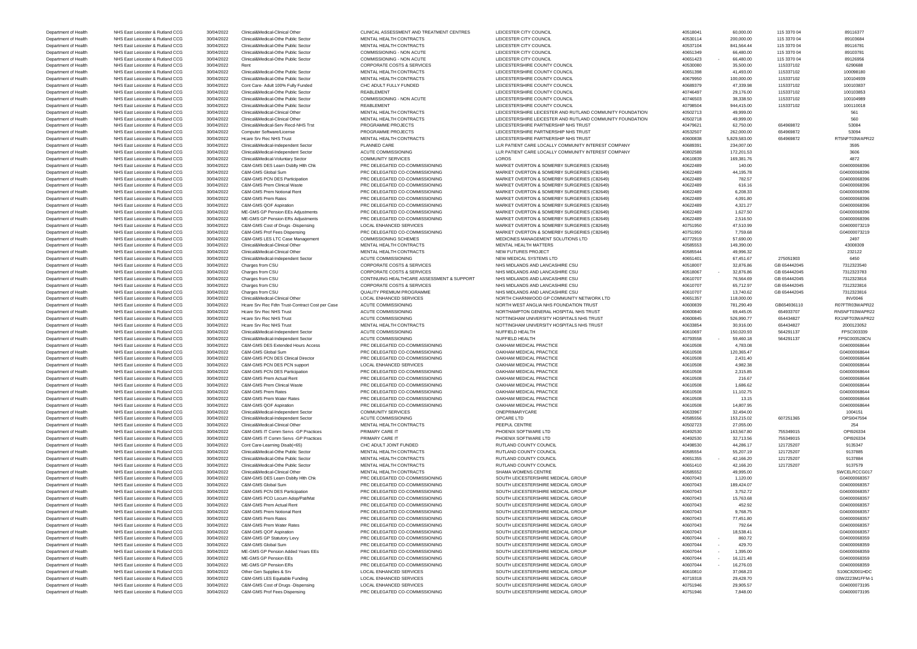Department of Health NHS East Leicester & Rutland CCG 30/04/2022 C&M-GMS Prof Fees Dispensing PRC DELEGATED CO-COMMISSIONING SOUTH LEICESTERSHIRE MEDICAL GROUP 40751946 7,848.00 40761946 7,848.00 604000073195

Department of Health NHS East Leicester & Rutland CCG 30/04/2022 Clinical&Medical-Clinical Other CLINICAL ASSESSMENT AND TREATMENT CENTRES LEICESTER CITY COUNCIL 40518041 40518041 60,000.00 115 3370 04 89116377 04 89116377 Department of Health NHS East Leicester & Rutland CCG 30/04/2022 Clinical&Medical-Othe Public Sector MENTAL HEALTH CONTRACTS LEICESTER CITY COUNCIL And the manufacture and the sector and the sector of the MENTAL HEALTH CON Department of Health NHS East Leicester & Rutland CCG 30/04/2022 Clinical&Medical-Othe Public Sector MENTAL HEALTH CONTRACTS LEICESTER CITY COUNCIL And the manufacture and the sector and the sector of the MENTAL HEALTH CON Department of Health NHS East Leicester & Rutland CCG 30/04/2022 Clinical&Medical-Othe Public Sector COMMISSIONING - NON ACUTE LEICESTER CITY COUNCIL LEICESTER CITY COUNCIL 40651349 66,480.00 115 3370 04 89103781 Department of Health NHS East Leicester & Rutland CCG 30/04/2022 Clinical&Medical-Othe Public Sector COMMISSIONING - NON ACUTE LEICESTER CITY COUNCIL LEICESTER CITY COUNCIL 40651423 - 66,480.00 115 3370 04 89126956 Department of Health NHS East Leicester & Rutland CCG 30/04/2022 Rent CORPORATE COSTS & SERVICES LEICESTERSHIRE COUNTY COUNCIL 40530080 35,500.00 115337102 6290688 Department of Health NHS East Leicester & Rutland CCG 30/04/2022 Clinical&Medical-Othe Public Sector MENTAL HEALTH CONTRACTS LEICESTERSHIRE COUNTY COUNCIL 40651398 41,493.00 115337102 100098180 Department of Health NHS East Leicester & Rutland CCG 30/04/2022 Clinical&Medical-Othe Public Sector MENTAL HEALTH CONTRACTS LEICESTERSHIRE COUNTY COUNCIL 40679950 100,000.00 115337102 100104939 Department of Health NHS East Leicester & Rutland CCG 30/04/2022 Cont Care- Adult 100% Fully Funded CHC ADULT FULLY FUNDED LEICESTERSHIRE COUNTY COUNCIL 4D689379 47,339.98 115337102 100103837 Department of Health NHS East Leicester & Rutland CCG 30/04/2022 Clinical&Medical-Othe Public Sector REABLEMENT REABLEMENT LEICESTERSHIRE COUNTY COUNCIL 40746497 29,176.00 115337102 100103853 Department of Health NHS East Leicester & Rutland CCG 30/04/2022 Clinical&Medical-Othe Public Sector COMMISSIONING - NON ACUTE LEICESTERSHIRE COUNTY COUNCIL 40746503 38,338.50 115337102 100104989 Department of Health NHS East Leicester & Rutland CCG 30/04/2022 Clinical&Medical-Othe Public Sector REABLEMENT REABLEMENT LEICESTERSHIRE COUNTY COUNCIL And the manuform of the status and the status 100110018 Department of Health NHS East Leicester & Rutland CCG 30/04/2022 Clinical&Medical-Clinical Other MENTAL HEALTH CONTRACTS LEICESTER SHIRE LEICESTER AND RUTLAND COMMUNITY FOUNDATION 49,999.00 49,999.00 49,999.00 561 Department of Health NHS East Leicester & Rutland CCG 30/04/2022 Clinical&Medical-Clinical Other MENTAL HEALTH CONTRACTS LEICESTER SHIRE LEICESTER AND RUTLAND COMMUNITY FOUNDATION 40502718 49,999.00 49,999.00 654969872 560 Department of Health NHS East Leicester & Rutland CCG 30/04/2022 Clinical&Medical-Serv Recd-NHS Trst PROGRAMME PROJECTS LEICESTERSHIRE PARTNERSHIP NHS TRUST 40479621 63/750.00 654969872 653084 Department of Health NHS East Leicester & Rutland CCG 30/04/2022 Computer Software/License PROGRAMME PROJECTS LEICESTERSHIRE PARTNERSHIP NHS TRUST 40532507 40532507 262,000.00 654969872 53094 Department of Health NHS East Leicester & Rutland CCG 30/04/2022 Hcare Srv Rec NHS Trust MENTAL HEALTH CONTRACTS LEICESTERSHIRE PARTNERSHIP NHS TRUST 40600838 5,829,583.00 654969872 RT5NFT03WAPR22 Department of Health NHS East Leicester & Rutland CCG 30/04/2022 Clinical&Medical-Independent Sector PLANNED CARE LART DO DEPARTMENT CARE LOCALLY COMMUNITY INTEREST COMPANY 40689391 234,007.00 2545 2016 2595 2396 234,007.0 Department of Health NHS East Leicester & Rutland CCG 30/04/2022 Clinical&Medical-Independent Sector ACUTE COMMISSIONING LLR PATIENT CARE LOCALLY COMMUNITY INTEREST COMPANY 40802588 172,201.53 172,201.53 3606 Department of Health NHS East Leicester & Rutland CCG 30/04/2022 Clinical&Medical-Voluntary Sector COMMUNITY SERVICES LOROS LOROS 40610839 40610839 169,381.76 169,381.76 1872 Department of Health NHS East Leicester & Rutland CCG 30/04/2022 C&M-GMS DES Learn Dsblty Hlth Chk PRC DELEGATED CO-COMMISSIONING MARKET OVERTON & SOMERBY SURGERIES (C82649) 40622489 140.00 40622489 140.00 G04000068396 Department of Health NHS East Leicester & Rutland CCG 30/04/2022 C&M-GMS Global Sum PRC DELEGATED CO-COMMISSIONING MARKET OVERTON & SOMERBY SURGERIES (C82649) 40622489 44,195.78 44,195.78 44,195.78 604000068396 Department of Health NHS East Leicester & Rutland CCG 30/04/2022 C&M-GMS PCN DES Participation PRC DELEGATED CO-COMMISSIONING MARKET OVERTON & SOMERBY SURGERIES (C82649) 40622489 782.57 782.57 604000068396 Department of Health NHS East Leicester & Rutland CCG 30/04/2022 C&M-GMS Prem Clinical Waste PRC DELEGATED CO-COMMISSIONING MARKET OVERTON & SOMERBY SURGERIES (C82649) 40622489 616.16 616.16 614000068396 616.16 60400006839 Department of Health NHS East Leicester & Rutland CCG 30/04/2022 C&M-GMS Prem Notional Rent PRC DELEGATED CO-COMMISSIONING MARKET OVERTON & SOMERBY SURGERIES (C82649) 40622489 6,208.33 6620433 6,0400068396 6,208.33 G040000 Department of Health NHS East Leicester & Rutland CCG 30/04/2022 C&M-GMS Prem Rates PRC DELEGATED CO-COMMISSIONING MARKET OVERTON & SOMERBY SURGERIES (C82649) 40622489 4,091.80 4,091.80 4,091.80 4,091.80 604000068396 Department of Health NHS East Leicester & Rutland CCG 30/04/2022 C&M-GMS QOF Aspiration PRC DELEGATED CO-COMMISSIONING MARKET OVERTON & SOMERBY SURGERIES (C82649) 40622489 4,321.27 40622489 4,321.27 40622489 4,321.27 Department of Health NHS East Leicester & Rutland CCG 30/04/2022 ME-GMS GP Pension EEs Adjustments PRC DELEGATED CO-COMMISSIONING MARKET OVERTON & SOMERBY SURGERIES (C82649) 40622489 1,627.50 1,627.50 1,627.50 604000068396 Department of Health NHS East Leicester & Rutland CCG 30/04/2022 ME-GMS GP Pension ERS Adjustments PRC DELEGATED CO-COMMISSIONING MARKET OVERTON & SOMERBY SURGERIES (C82649) 40622489 40622489 2,516.50 2,516.50 G04000068396 Department of Health NHS East Leicester & Rutland CCG 30/04/2022 C&M-GMS Cost of Drugs -Dispensing LOCAL ENHANCED SERVICES MARKET OVERTON & SOMERBY SURGERIES (C82649) 40751950 47,510.99 47,510.99 47,510.99 604000073219 Department of Health NHS East Leicester & Rutland CCG 30/04/2022 C&M-GMS Prof Fees Dispensing PRC DELEGATED CO-COMMISSIONING MARKET OVERTON & SOMERBY SURGERIES (C82649) 40751950 7,759.68 7,759.68 7,759.68 604000073219 Department of Health NHS East Leicester & Rutland CCG 30/04/2022 C&M-GMS LES LTC Case Management COMMISSIONING SCHEMES MEDICINES MANAGEMENT SOLUTIONS LTD 40770919 57,690.00 57,690.00 57,690.00 2497 Department of Health NHS East Leicester & Rutland CCG 30/04/2022 Clinical&Medical-Clinical Other MENTAL HEALTH CONTRACTS MENTAL HEALTH MATTERS 4058553 149,390.00 43008309 40585553 149,390.00 43008309 Department of Health NHS East Leicester & Rutland CCG 30/04/2022 Clinical&Medical-Clinical Other MENTAL HEALTH CONTRACTS NEW FUTURES PROJECT 40585544 49,996.32 49,996.32 49,996.32 232122 Department of Health NHS East Leicester & Rutland CCG 30/04/2022 Clinical&Medical-Independent Sector ACUTE COMMISSIONING NEW MEDICAL SYSTEMS LTD 40651401 67,451.67 275051903 6450 Department of Health NHS East Leicester & Rutland CCG 30/04/2022 Charges from CSU CORPORATE COSTS & SERVICES NHS MIDLANDS AND LANCASHIRE CSU 40518007 32,876.86 GB 654442045 7312323540 Department of Health NHS East Leicester & Rutland CCG 30/04/2022 Charges from CSU CORPORATE COSTS & SERVICES NHS MIDLANDS AND LANCASHIRE CSU 40518067 - 32,876.86 GB 654442045 7312323783 Department of Health NHS East Leicester & Rutland CCG 30/04/2022 Charges from CSU CONTINUING HEALTHCARE ASSESSMENT & SUPPORT NHS MIDLANDS AND LANCASHIRE CSU 40610707 76,564.69 GB 654442045 7312323816 Department of Health NHS East Leicester & Rutland CCG 30/04/2022 Charges from CSU CORPORATE COSTS & SERVICES NHS MIDLANDS AND LANCASHIRE CSU 40610707 65,712.97 GB 654442045 7312323816 Department of Health NHS East Leicester & Rutland CCG 30/04/2022 Charges from CSU QUALITY PREMIUM PROGRAMME NHS MIDLANDS AND LANCASHIRE CSU 40610707 13,740.62 GB 654442045 7312323816 Department of Health NHS East Leicester & Rutland CCG 30/04/2022 Clinical&Medical-Clinical Other LOCAL ENHANCED SERVICES NORTH CHARNWOOD GP COMMUNITY NETWORK LTD 40651357 118,000.00 118,000.00 INV0046 Department of Health NHS East Leicester & Rutland CCG 30/04/2022 Hcare Srv Rec Fdtn Trust-Contract Cost per Case ACUTE COMMISSIONING NORTH WEST ANGLIA NHS FOUNDATION TRUST 40600839 781,290.49 GB654936110 R07FTR03WAPR22 Department of Health NHS East Leicester & Rutland CCG 30/04/2022 Hcare Srv Rec NHS Trust ACUTE COMMISSIONING NORTHAMPTON GENERAL HOSPITAL NHS TRUST 40600840 69,445.05 654933707 RNSNFT03WAPR22 Department of Health NHS East Leicester & Rutland CCG 30/04/2022 Hcare Srv Rec NHS Trust ACUTE COMMISSIONING NOTTINGHAM UNIVERSITY HOSPITALS NHS TRUST 40600845 526,990.77 654434827 RX1NFT03WAPR22 Department of Health NHS East Leicester & Rutland CCG 30/04/2022 Hcare Srv Rec NHS Trust MENTAL HEALTH CONTRACTS NOTTINGHAM UNIVERSITY HOSPITALS NHS TRUST 40633854 30,916.00 654434827 2000123052<br>Department of Health NHS Ea Department of Health NHS East Leicester & Rutland CCG 30/04/2022 Clinical&Medical-Independent Sector ACUTE COMMISSIONING NUFFIELD HEALTH 40610697 150,020.93 564291137 564291137 FPSC003339 Department of Health NHS East Leicester & Rutland CCG 30/04/2022 Clinical&Medical-Independent Sector ACUTE COMMISSIONING NUFFIELD HEALTH 40793558 - 59,460.18 564291137 FPSC003528CN Department of Health NHS East Leicester & Rutland CCG 30/04/2022 C&M-GMS DES Extended Hours Access PRC DELEGATED CO-COMMISSIONING OAKHAM MEDICAL PRACTICE 40610508 4,783.08 4,783.08 4,783.08 4,783.08 4,783.08 604000068644 Department of Health NHS East Leicester & Rutland CCG 30/04/2022 C&M-GMS Global Sum PRC DELEGATED CO-COMMISSIONING OAKHAM MEDICAL PRACTICE 40610508 40610508 40610508 120,365.47 40610508 40610508 40610508 120,365.47 G040000 Department of Health NHS East Leicester & Rutland CCG 30/04/2022 C&M-GMS PCN DES Clinical Director PRC DELEGATED CO-COMMISSIONING OAKHAM MEDICAL PRACTICE 40610508 2,431.40 40610508 2,431.40 G04000068644 GO4000068644 ASS 2. Department of Health NHS East Leicester & Rutland CCG 30/04/2022 C&M-GMS PCN DES PCN support LOCAL ENHANCED SERVICES OAKHAM MEDICAL PRACTICE 40610508 4,982.38 4,982.38 4,982.38 4,982.38 4,982.38 4,982.38 4,982.38 4,982.38 Department of Health NHS East Leicester & Rutland CCG 30/04/2022 C&M-GMS PCN DES Participation PRC DELEGATED CO-COMMISSIONING OAKHAM MEDICAL PRACTICE 40610508 40610508 40610508 2,315.85 2,315.85 604000068644 Department of Health NHS East Leicester & Rutland CCG 30/04/2022 C&M-GMS Prem Actual Rent PRC DELEGATED CO-COMMISSIONING OAKHAM MEDICAL PRACTICE 40610508 40610508 40610508 216.67 216.67 2016.000068644 Department of Health NHS East Leicester & Rutland CCG 30/04/2022 C&M-GMS Prem Clinical Waste PRC DELEGATED CO-COMMISSIONING OAKHAM MEDICAL PRACTICE 40610508 40610508 40610508 40610508 40610508 40610508 40610508 40610508 40 Department of Health NHS East Leicester & Rutland CCG 30/04/2022 C&M-GMS Prem Rates PRC DELEGATED CO-COMMISSIONING OAKHAM MEDICAL PRACTICE 40610508 40610508 40610508 11,102.75 40610508 11,102.75 604000068644 Department of Health NHS East Leicester & Rutland CCG 30/04/2022 C&M-GMS Prem Water Rates PRC DELEGATED CO-COMMISSIONING OAKHAM MEDICAL PRACTICE 40610508 40610508 40610508 13.15 40610508 13.15 G04000068644 Department of Health NHS East Leicester & Rutland CCG 30/04/2022 C&M-GMS QOF Aspiration PRC DELEGATED CO-COMMISSIONING OAKHAM MEDICAL PRACTICE 40610508 40610508 40610508 14,807.95 40810508 40610508 40610508 40610508 406105 Department of Health NHS East Leicester & Rutland CCG 30/04/2022 Clinical&Medical-Independent Sector COMMUNITY SERVICES ONEPRIMARYCARE ONEPRIMARYCARE 40633967 32,494.00 1004151 Department of Health NHS East Leicester & Rutland CCG 30/04/2022 Clinical&Medical-Independent Sector ACUTE COMMISSIONING OPCARE LTD QPCARE LTD 40585556 153,215.02 607251365 07251365 0981047594 Department of Health NHS East Leicester & Rutland CCG 30/04/2022 Clinical&Medical-Clinical Other MENTAL HEALTH CONTRACTS PEEPUL CENTRE PEEPUL CENTRE 40502723 27,055.00 254 Department of Health NHS East Leicester & Rutland CCG 30/04/2022 C&M-GMS IT Comm Servs -GP Practices PRIMARY CARE IT PHOENIX SOFTWARE LTD PHOENIX SOFTWARE LTD 40492530 163,567.80 755349015 0PI926334 Department of Health NHS East Leicester & Rutland CCG 30/04/2022 C&M-GMS IT Comm Servs -GP Practices PRIMARY CARE IT PHOENIX SOFTWARE LTD ADAME LTD 40492530 32,713.56 755349015 0PI926334 Department of Health NHS East Leicester & Rutland CCG 30/04/2022 Cont Care-Learning Disab(<65) CHC ADULT JOINT FUNDED RUTLAND COUNTY COUNCIL 40098530 44,286.17 121725207 9135347 Department of Health NHS East Leicester & Rutland CCG 30/04/2022 Clinical&Medical-Othe Public Sector MENTAL HEALTH CONTRACTS RUTLAND COUNTY COUNCIL 4058554 55,207.19 121725207 9137885 Department of Health NHS East Leicester & Rutland CCG 30/04/2022 Clinical&Medical-Othe Public Sector MENTAL HEALTH CONTRACTS RUTLAND COUNTY COUNCIL ALLTH CONTRACTS A 40651355 - 42,166.20 121725207 9137884 Department of Health NHS East Leicester & Rutland CCG 30/04/2022 Clinical&Medical-Othe Public Sector MENTAL HEALTH CONTRACTS RUTLAND COUNTY COUNCIL 40051410 42,166.20 121725207 9137579 Department of Health NHS East Leicester & Rutland CCG 30/04/2022 Clinical&Medical-Clinical Other MENTAL HEALTH CONTRACTS SHAMA WOMENS CENTRE 40585552 49,995.00 49,995.00 SWCELRCCG017 Department of Health NHS East Leicester & Rutland CCG 30/04/2022 C&M-GMS DES Learn Dsblty Hlth Chk PRC DELEGATED CO-COMMISSIONING SOUTH LEICESTERSHIRE MEDICAL GROUP 40607043 1,120.00 40607043 1,120.00 604000068357 Department of Health NHS East Leicester & Rutland CCG 30/04/2022 C&M-GMS Global Sum PRC DELEGATED CO-COMMISSIONING SOUTH LEICESTERSHIRE MEDICAL GROUP 40607043 40607043 189,424.07 189,424.07 604000068357 Department of Health NHS East Leicester & Rutland CCG 30/04/2022 C&M-GMS PCN DES Participation PRC DELEGATED CO-COMMISSIONING SOUTH LEICESTERSHIRE MEDICAL GROUP 40607043 40607043 3,752.72 40607043 3,752.72 G04000068357 Department of Health NHS East Leicester & Rutland CCG 30/04/2022 C&M-GMS PCO Locum Adop/Pat/Mat PRC DELEGATED CO-COMMISSIONING SOUTH LEICESTERSHIRE MEDICAL GROUP 40607043 40607043 15,763.68 15,763.68 604000068357 Department of Health NHS East Leicester & Rutland CCG 30/04/2022 C&M-GMS Prem Actual Rent PRC DELEGATED CO-COMMISSIONING SOUTH LEICESTERSHIRE MEDICAL GROUP 40607043 452.92 452.92 452.92 604000068357 Department of Health NHS East Leicester & Rutland CCG 30/04/2022 C&M-GMS Prem Notional Rent PRC DELEGATED CO-COMMISSIONING SOUTH LEICESTERSHIRE MEDICAL GROUP 40607043 9,768.75 9,768.75 9,768.75 604000068357 Department of Health NHS East Leicester & Rutland CCG 30/04/2022 C&M-GMS Prem Rates PRC DELEGATED CO-COMMISSIONING SOUTH LEICESTERSHIRE MEDICAL GROUP 40607043 77,451.80 77,451.80 77,451.80 604000068357 Department of Health NHS East Leicester & Rutland CCG 30/04/2022 C&M-GMS Prem Water Rates PRC DELEGATED CO-COMMISSIONING SOUTH LEICESTERSHIRE MEDICAL GROUP 40607043 792.64 792.64 792.64 604000068357 Department of Health NHS East Leicester & Rutland CCG 30/04/2022 C&M-GMS QOF Aspiration PRC DELEGATED CO-COMMISSIONING SOUTH LEICESTERSHIRE MEDICAL GROUP 40607043 40607043 18,538.41 18,538.41 G04000068357 Department of Health NHS East Leicester & Rutland CCG 30/04/2022 C&M-GMS GP Statutory Levy PRC DELEGATED CO-COMMISSIONING SOUTH LEICESTERSHIRE MEDICAL GROUP 40607044 - 860.72 40607044 - 860.72 G04000068359 Department of Health NHS East Leicester & Rutland CCG 30/04/2022 C&M-GMS Global Sum PRC DELEGATED CO-COMMISSIONING SOUTH LEICESTERSHIRE MEDICAL GROUP 40607044 - 429.70 409704 40607044 - 429.70 G04000068359 Department of Health NHS East Leicester & Rutland CCG 30/04/2022 ME-GMS GP Pension Added Years EEs PRC DELEGATED CO-COMMISSIONING SOUTH LEICESTERSHIRE MEDICAL GROUP 40607044 - 1,395.00 40607044 - 1,395.00 G04000068359 Department of Health NHS East Leicester & Rutland CCG 30/04/2022 ME-GMS GP Pension EEs PRC DELEGATED CO-COMMISSIONING SOUTH LEICESTERSHIRE MEDICAL GROUP 40607044 - 16,121.48 40607044 - 16,121.48 G04000068359 Department of Health NHS East Leicester & Rutland CCG 30/04/2022 ME-GMS GP Pension ERs PRC DELEGATED CO-COMMISSIONING SOUTH LEICESTERSHIRE MEDICAL GROUP 40607044 - 16,276.03 40607044 - 16,276.03 604000068359 Department of Health NHS East Leicester & Rutland CCG 30/04/2022 Other Gen Supplies & Srv LOCAL ENHANCED SERVICES SOUTH LEICESTERSHIRE MEDICAL GROUP 40610810 37,068.23 37,068.23 S106C82001HDC Department of Health NHS East Leicester & Rutland CCG 30/04/2022 C&M-GMS LES Equitable Funding LOCAL ENHANCED SERVICES SOUTH LEICESTERSHIRE MEDICAL GROUP 40719318 29,428.70 29,428.70 03W2223M1FFM-1 Department of Health NHS East Leicester & Rutland CCG 30/04/2022 C&M-GMS Cost of Drugs -Dispensing LOCAL ENHANCED SERVICES SOUTH LEICESTERSHIRE MEDICAL GROUP 40751946 29,905.57 40751946 29,905.57 604000073195